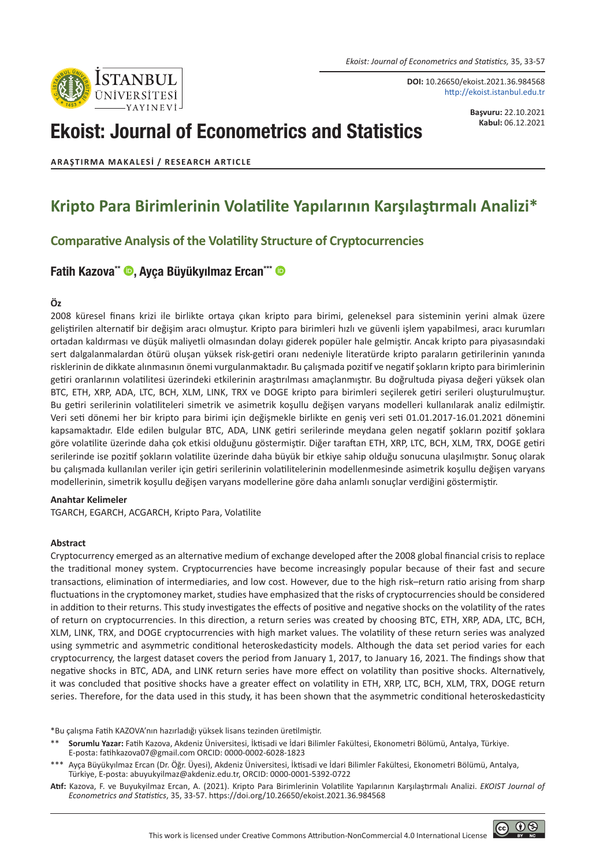*Ekoist: Journal of Econometrics and Statistics,* 35, 33-57

**DOI:** 10.26650/ekoist.2021.36.984568

http://ekoist.istanbul.edu.tr

# Ekoist: Journal of Econometrics and Statistics

**Başvuru:** 22.10.2021 **Kabul:** 06.12.2021

## **ARAŞTIRMA MAKALESI / RESEARCH ARTICLE**

**STANBUL** 

## **Kripto Para Birimlerinin Volatilite Yapılarının Karşılaştırmalı Analizi\***

## **Comparative Analysis of the Volatility Structure of Cryptocurrencies**

## [Fatih Kazova\\*\\*](https://orcid.org/0000-0002-6028-1823) (, [Ayça Büyükyılmaz Ercan\\*\\*\\*](https://orcid.org/0000-0001-5392-0722) (

#### **Öz**

2008 küresel finans krizi ile birlikte ortaya çıkan kripto para birimi, geleneksel para sisteminin yerini almak üzere geliştirilen alternatif bir değişim aracı olmuştur. Kripto para birimleri hızlı ve güvenli işlem yapabilmesi, aracı kurumları ortadan kaldırması ve düşük maliyetli olmasından dolayı giderek popüler hale gelmiştir. Ancak kripto para piyasasındaki sert dalgalanmalardan ötürü oluşan yüksek risk-getiri oranı nedeniyle literatürde kripto paraların getirilerinin yanında risklerinin de dikkate alınmasının önemi vurgulanmaktadır. Bu çalışmada pozitif ve negatif şokların kripto para birimlerinin getiri oranlarının volatilitesi üzerindeki etkilerinin araştırılması amaçlanmıştır. Bu doğrultuda piyasa değeri yüksek olan BTC, ETH, XRP, ADA, LTC, BCH, XLM, LINK, TRX ve DOGE kripto para birimleri seçilerek getiri serileri oluşturulmuştur. Bu getiri serilerinin volatiliteleri simetrik ve asimetrik koşullu değişen varyans modelleri kullanılarak analiz edilmiştir. Veri seti dönemi her bir kripto para birimi için değişmekle birlikte en geniş veri seti 01.01.2017-16.01.2021 dönemini kapsamaktadır. Elde edilen bulgular BTC, ADA, LINK getiri serilerinde meydana gelen negatif şokların pozitif şoklara göre volatilite üzerinde daha çok etkisi olduğunu göstermiştir. Diğer taraftan ETH, XRP, LTC, BCH, XLM, TRX, DOGE getiri serilerinde ise pozitif şokların volatilite üzerinde daha büyük bir etkiye sahip olduğu sonucuna ulaşılmıştır. Sonuç olarak bu çalışmada kullanılan veriler için getiri serilerinin volatilitelerinin modellenmesinde asimetrik koşullu değişen varyans modellerinin, simetrik koşullu değişen varyans modellerine göre daha anlamlı sonuçlar verdiğini göstermiştir.

#### **Anahtar Kelimeler**

TGARCH, EGARCH, ACGARCH, Kripto Para, Volatilite

#### **Abstract**

Cryptocurrency emerged as an alternative medium of exchange developed after the 2008 global financial crisis to replace the traditional money system. Cryptocurrencies have become increasingly popular because of their fast and secure transactions, elimination of intermediaries, and low cost. However, due to the high risk–return ratio arising from sharp fluctuations in the cryptomoney market, studies have emphasized that the risks of cryptocurrencies should be considered in addition to their returns. This study investigates the effects of positive and negative shocks on the volatility of the rates of return on cryptocurrencies. In this direction, a return series was created by choosing BTC, ETH, XRP, ADA, LTC, BCH, XLM, LINK, TRX, and DOGE cryptocurrencies with high market values. The volatility of these return series was analyzed using symmetric and asymmetric conditional heteroskedasticity models. Although the data set period varies for each cryptocurrency, the largest dataset covers the period from January 1, 2017, to January 16, 2021. The findings show that negative shocks in BTC, ADA, and LINK return series have more effect on volatility than positive shocks. Alternatively, it was concluded that positive shocks have a greater effect on volatility in ETH, XRP, LTC, BCH, XLM, TRX, DOGE return series. Therefore, for the data used in this study, it has been shown that the asymmetric conditional heteroskedasticity

\*Bu çalışma Fatih KAZOVA'nın hazırladığı yüksek lisans tezinden üretilmiştir.

\*\* **Sorumlu Yazar:** Fatih Kazova, Akdeniz Üniversitesi, İktisadi ve İdari Bilimler Fakültesi, Ekonometri Bölümü, Antalya, Türkiye. E-posta: fatihkazova07@gmail.com ORCID: 0000-0002-6028-1823

\*\*\* Ayça Büyükyılmaz Ercan (Dr. Öğr. Üyesi), Akdeniz Üniversitesi, İktisadi ve İdari Bilimler Fakültesi, Ekonometri Bölümü, Antalya, Türkiye, E-posta: abuyukyilmaz@akdeniz.edu.tr, ORCID: 0000-0001-5392-0722

**Atıf:** Kazova, F. ve Buyukyilmaz Ercan, A. (2021). Kripto Para Birimlerinin Volatilite Yapılarının Karşılaştırmalı Analizi. *EKOIST Journal of Econometrics and Statistics*, 35, 33-57. https://doi.org/10.26650/ekoist.2021.36.984568

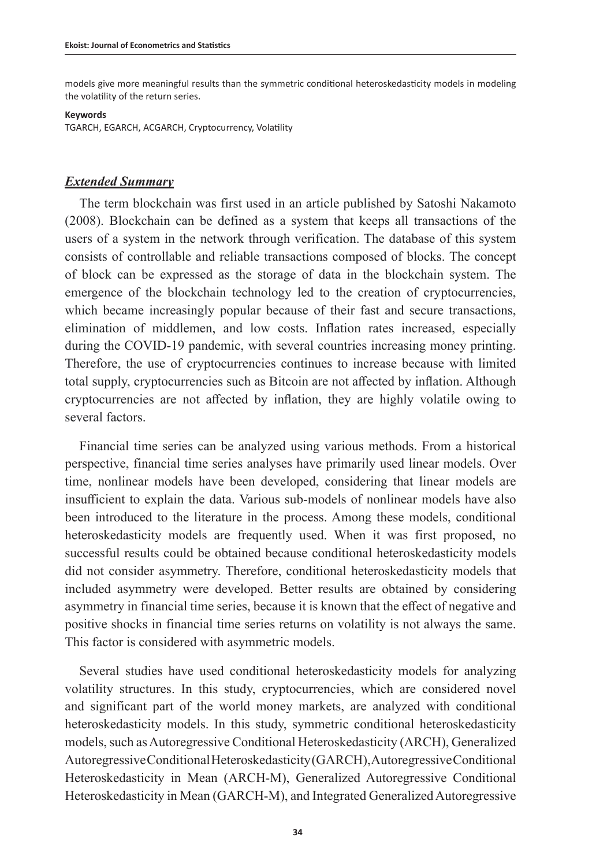models give more meaningful results than the symmetric conditional heteroskedasticity models in modeling the volatility of the return series.

#### **Keywords**

TGARCH, EGARCH, ACGARCH, Cryptocurrency, Volatility

## *Extended Summary*

The term blockchain was first used in an article published by Satoshi Nakamoto (2008). Blockchain can be defined as a system that keeps all transactions of the users of a system in the network through verification. The database of this system consists of controllable and reliable transactions composed of blocks. The concept of block can be expressed as the storage of data in the blockchain system. The emergence of the blockchain technology led to the creation of cryptocurrencies, which became increasingly popular because of their fast and secure transactions, elimination of middlemen, and low costs. Inflation rates increased, especially during the COVID-19 pandemic, with several countries increasing money printing. Therefore, the use of cryptocurrencies continues to increase because with limited total supply, cryptocurrencies such as Bitcoin are not affected by inflation. Although cryptocurrencies are not affected by inflation, they are highly volatile owing to several factors.

Financial time series can be analyzed using various methods. From a historical perspective, financial time series analyses have primarily used linear models. Over time, nonlinear models have been developed, considering that linear models are insufficient to explain the data. Various sub-models of nonlinear models have also been introduced to the literature in the process. Among these models, conditional heteroskedasticity models are frequently used. When it was first proposed, no successful results could be obtained because conditional heteroskedasticity models did not consider asymmetry. Therefore, conditional heteroskedasticity models that included asymmetry were developed. Better results are obtained by considering asymmetry in financial time series, because it is known that the effect of negative and positive shocks in financial time series returns on volatility is not always the same. This factor is considered with asymmetric models.

Several studies have used conditional heteroskedasticity models for analyzing volatility structures. In this study, cryptocurrencies, which are considered novel and significant part of the world money markets, are analyzed with conditional heteroskedasticity models. In this study, symmetric conditional heteroskedasticity models, such as Autoregressive Conditional Heteroskedasticity (ARCH), Generalized Autoregressive Conditional Heteroskedasticity (GARCH), Autoregressive Conditional Heteroskedasticity in Mean (ARCH-M), Generalized Autoregressive Conditional Heteroskedasticity in Mean (GARCH-M), and Integrated Generalized Autoregressive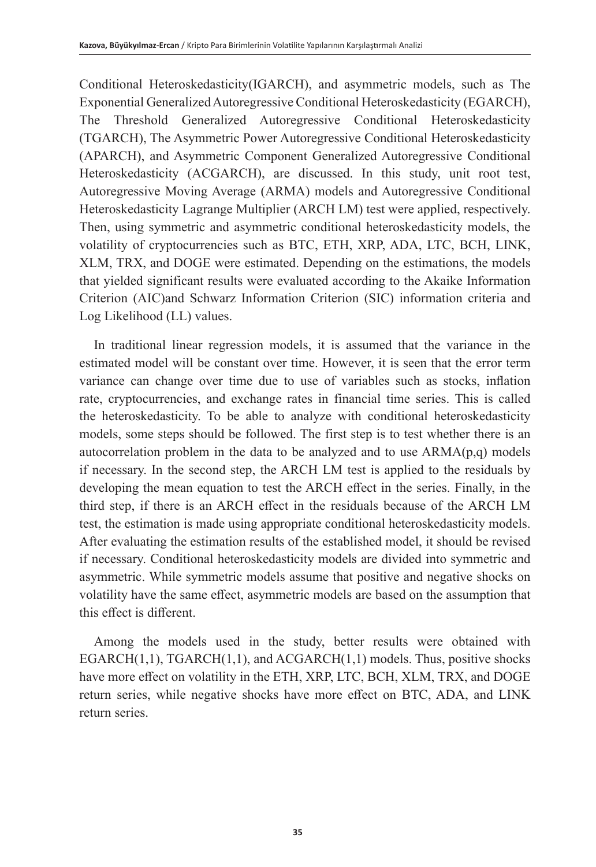Conditional Heteroskedasticity(IGARCH), and asymmetric models, such as The Exponential Generalized Autoregressive Conditional Heteroskedasticity (EGARCH), The Threshold Generalized Autoregressive Conditional Heteroskedasticity (TGARCH), The Asymmetric Power Autoregressive Conditional Heteroskedasticity (APARCH), and Asymmetric Component Generalized Autoregressive Conditional Heteroskedasticity (ACGARCH), are discussed. In this study, unit root test, Autoregressive Moving Average (ARMA) models and Autoregressive Conditional Heteroskedasticity Lagrange Multiplier (ARCH LM) test were applied, respectively. Then, using symmetric and asymmetric conditional heteroskedasticity models, the volatility of cryptocurrencies such as BTC, ETH, XRP, ADA, LTC, BCH, LINK, XLM, TRX, and DOGE were estimated. Depending on the estimations, the models that yielded significant results were evaluated according to the Akaike Information Criterion (AIC)and Schwarz Information Criterion (SIC) information criteria and Log Likelihood (LL) values.

In traditional linear regression models, it is assumed that the variance in the estimated model will be constant over time. However, it is seen that the error term variance can change over time due to use of variables such as stocks, inflation rate, cryptocurrencies, and exchange rates in financial time series. This is called the heteroskedasticity. To be able to analyze with conditional heteroskedasticity models, some steps should be followed. The first step is to test whether there is an autocorrelation problem in the data to be analyzed and to use  $ARMA(p,q)$  models if necessary. In the second step, the ARCH LM test is applied to the residuals by developing the mean equation to test the ARCH effect in the series. Finally, in the third step, if there is an ARCH effect in the residuals because of the ARCH LM test, the estimation is made using appropriate conditional heteroskedasticity models. After evaluating the estimation results of the established model, it should be revised if necessary. Conditional heteroskedasticity models are divided into symmetric and asymmetric. While symmetric models assume that positive and negative shocks on volatility have the same effect, asymmetric models are based on the assumption that this effect is different.

Among the models used in the study, better results were obtained with  $EGARCH(1,1), TGARCH(1,1), and ACGARCH(1,1) models. Thus, positive shocks$ have more effect on volatility in the ETH, XRP, LTC, BCH, XLM, TRX, and DOGE return series, while negative shocks have more effect on BTC, ADA, and LINK return series.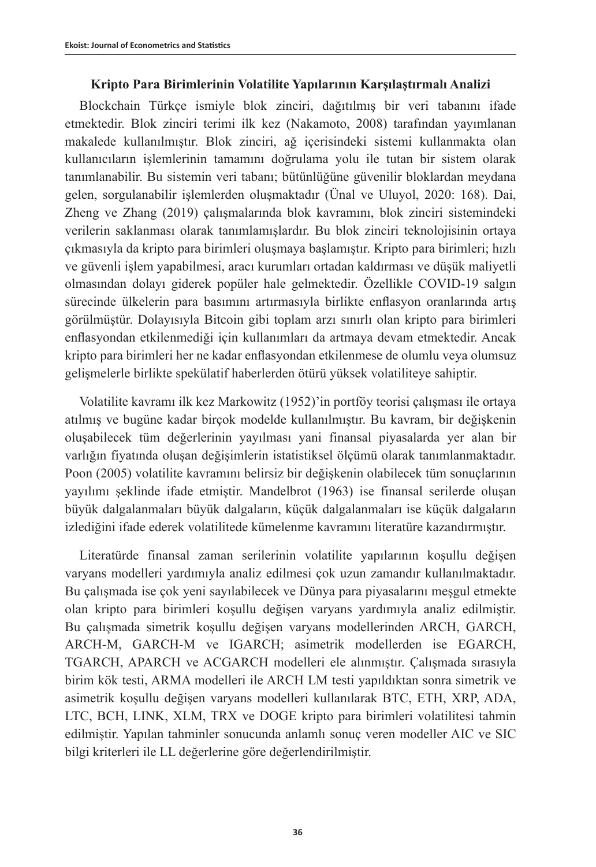## **Kripto Para Birimlerinin Volatilite Yapılarının Karşılaştırmalı Analizi**

Blockchain Türkçe ismiyle blok zinciri, dağıtılmış bir veri tabanını ifade etmektedir. Blok zinciri terimi ilk kez (Nakamoto, 2008) tarafından yayımlanan makalede kullanılmıştır. Blok zinciri, ağ içerisindeki sistemi kullanmakta olan kullanıcıların işlemlerinin tamamını doğrulama yolu ile tutan bir sistem olarak tanımlanabilir. Bu sistemin veri tabanı; bütünlüğüne güvenilir bloklardan meydana gelen, sorgulanabilir işlemlerden oluşmaktadır (Ünal ve Uluyol, 2020: 168). Dai, Zheng ve Zhang (2019) çalışmalarında blok kavramını, blok zinciri sistemindeki verilerin saklanması olarak tanımlamışlardır. Bu blok zinciri teknolojisinin ortaya çıkmasıyla da kripto para birimleri oluşmaya başlamıştır. Kripto para birimleri; hızlı ve güvenli işlem yapabilmesi, aracı kurumları ortadan kaldırması ve düşük maliyetli olmasından dolayı giderek popüler hale gelmektedir. Özellikle COVID-19 salgın sürecinde ülkelerin para basımını artırmasıyla birlikte enflasyon oranlarında artış görülmüştür. Dolayısıyla Bitcoin gibi toplam arzı sınırlı olan kripto para birimleri enflasyondan etkilenmediği için kullanımları da artmaya devam etmektedir. Ancak kripto para birimleri her ne kadar enflasyondan etkilenmese de olumlu veya olumsuz gelişmelerle birlikte spekülatif haberlerden ötürü yüksek volatiliteye sahiptir.

Volatilite kavramı ilk kez Markowitz (1952)'in portföy teorisi çalışması ile ortaya atılmış ve bugüne kadar birçok modelde kullanılmıştır. Bu kavram, bir değişkenin oluşabilecek tüm değerlerinin yayılması yani finansal piyasalarda yer alan bir varlığın fiyatında oluşan değişimlerin istatistiksel ölçümü olarak tanımlanmaktadır. Poon (2005) volatilite kavramını belirsiz bir değişkenin olabilecek tüm sonuçlarının yayılımı şeklinde ifade etmiştir. Mandelbrot (1963) ise finansal serilerde oluşan büyük dalgalanmaları büyük dalgaların, küçük dalgalanmaları ise küçük dalgaların izlediğini ifade ederek volatilitede kümelenme kavramını literatüre kazandırmıştır.

Literatürde finansal zaman serilerinin volatilite yapılarının koşullu değişen varyans modelleri yardımıyla analiz edilmesi çok uzun zamandır kullanılmaktadır. Bu çalışmada ise çok yeni sayılabilecek ve Dünya para piyasalarını meşgul etmekte olan kripto para birimleri koşullu değişen varyans yardımıyla analiz edilmiştir. Bu çalışmada simetrik koşullu değişen varyans modellerinden ARCH, GARCH, ARCH-M, GARCH-M ve IGARCH; asimetrik modellerden ise EGARCH, TGARCH, APARCH ve ACGARCH modelleri ele alınmıştır. Çalışmada sırasıyla birim kök testi, ARMA modelleri ile ARCH LM testi yapıldıktan sonra simetrik ve asimetrik koşullu değişen varyans modelleri kullanılarak BTC, ETH, XRP, ADA, LTC, BCH, LINK, XLM, TRX ve DOGE kripto para birimleri volatilitesi tahmin edilmiştir. Yapılan tahminler sonucunda anlamlı sonuç veren modeller AIC ve SIC bilgi kriterleri ile LL değerlerine göre değerlendirilmiştir.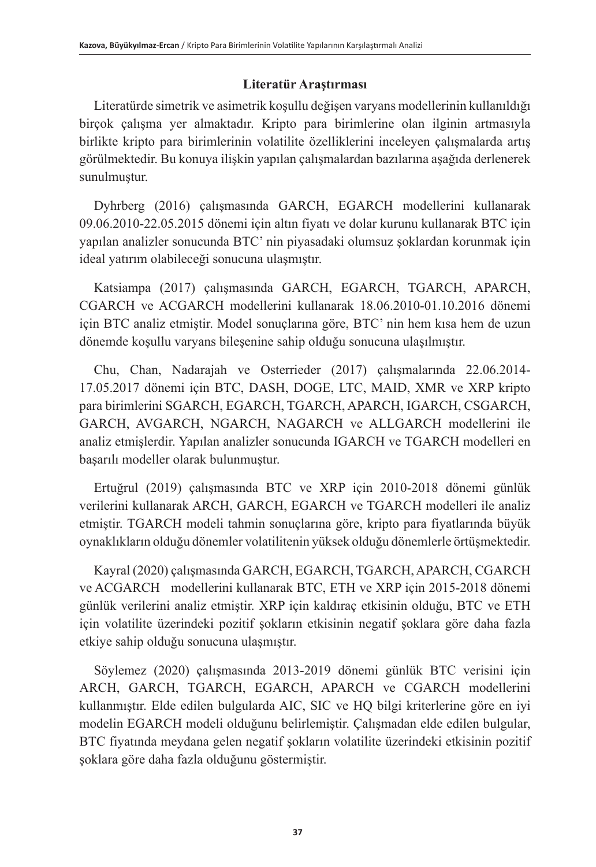## **Literatür Araştırması**

Literatürde simetrik ve asimetrik koşullu değişen varyans modellerinin kullanıldığı birçok çalışma yer almaktadır. Kripto para birimlerine olan ilginin artmasıyla birlikte kripto para birimlerinin volatilite özelliklerini inceleyen çalışmalarda artış görülmektedir. Bu konuya ilişkin yapılan çalışmalardan bazılarına aşağıda derlenerek sunulmuştur.

Dyhrberg (2016) çalışmasında GARCH, EGARCH modellerini kullanarak 09.06.2010-22.05.2015 dönemi için altın fiyatı ve dolar kurunu kullanarak BTC için yapılan analizler sonucunda BTC' nin piyasadaki olumsuz şoklardan korunmak için ideal yatırım olabileceği sonucuna ulaşmıştır.

Katsiampa (2017) çalışmasında GARCH, EGARCH, TGARCH, APARCH, CGARCH ve ACGARCH modellerini kullanarak 18.06.2010-01.10.2016 dönemi için BTC analiz etmiştir. Model sonuçlarına göre, BTC' nin hem kısa hem de uzun dönemde koşullu varyans bileşenine sahip olduğu sonucuna ulaşılmıştır.

Chu, Chan, Nadarajah ve Osterrieder (2017) çalışmalarında 22.06.2014- 17.05.2017 dönemi için BTC, DASH, DOGE, LTC, MAID, XMR ve XRP kripto para birimlerini SGARCH, EGARCH, TGARCH, APARCH, IGARCH, CSGARCH, GARCH, AVGARCH, NGARCH, NAGARCH ve ALLGARCH modellerini ile analiz etmişlerdir. Yapılan analizler sonucunda IGARCH ve TGARCH modelleri en başarılı modeller olarak bulunmuştur.

Ertuğrul (2019) çalışmasında BTC ve XRP için 2010-2018 dönemi günlük verilerini kullanarak ARCH, GARCH, EGARCH ve TGARCH modelleri ile analiz etmiştir. TGARCH modeli tahmin sonuçlarına göre, kripto para fiyatlarında büyük oynaklıkların olduğu dönemler volatilitenin yüksek olduğu dönemlerle örtüşmektedir.

Kayral (2020) çalışmasında GARCH, EGARCH, TGARCH, APARCH, CGARCH ve ACGARCH modellerini kullanarak BTC, ETH ve XRP için 2015-2018 dönemi günlük verilerini analiz etmiştir. XRP için kaldıraç etkisinin olduğu, BTC ve ETH için volatilite üzerindeki pozitif şokların etkisinin negatif şoklara göre daha fazla etkiye sahip olduğu sonucuna ulaşmıştır.

Söylemez (2020) çalışmasında 2013-2019 dönemi günlük BTC verisini için ARCH, GARCH, TGARCH, EGARCH, APARCH ve CGARCH modellerini kullanmıştır. Elde edilen bulgularda AIC, SIC ve HQ bilgi kriterlerine göre en iyi modelin EGARCH modeli olduğunu belirlemiştir. Çalışmadan elde edilen bulgular, BTC fiyatında meydana gelen negatif şokların volatilite üzerindeki etkisinin pozitif şoklara göre daha fazla olduğunu göstermiştir.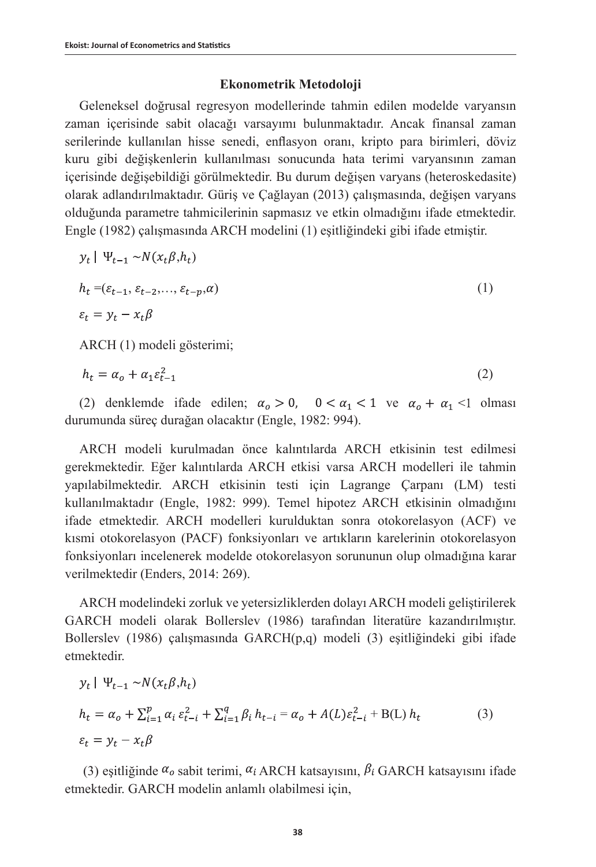## **Ekonometrik Metodoloji**

Geleneksel doğrusal regresyon modellerinde tahmin edilen modelde varyansın zaman içerisinde sabit olacağı varsayımı bulunmaktadır. Ancak finansal zaman serilerinde kullanılan hisse senedi, enflasyon oranı, kripto para birimleri, döviz kuru gibi değişkenlerin kullanılması sonucunda hata terimi varyansının zaman içerisinde değişebildiği görülmektedir. Bu durum değişen varyans (heteroskedasite) olarak adlandırılmaktadır. Güriş ve Çağlayan (2013) çalışmasında, değişen varyans olduğunda parametre tahmicilerinin sapmasız ve etkin olmadığını ifade etmektedir. Engle (1982) çalışmasında ARCH modelini (1) eşitliğindeki gibi ifade etmiştir.

$$
y_t \mid \Psi_{t-1} \sim N(x_t \beta, h_t)
$$
  
\n
$$
h_t = (\varepsilon_{t-1}, \varepsilon_{t-2}, \dots, \varepsilon_{t-p}, \alpha)
$$
  
\n
$$
\varepsilon_t = y_t - x_t \beta
$$
\n(1)

ARCH (1) modeli gösterimi;

$$
h_t = \alpha_o + \alpha_1 \varepsilon_{t-1}^2 \tag{2}
$$

(2) denklemde ifade edilen;  $\alpha_0 > 0$ ,  $0 < \alpha_1 < 1$  ve  $\alpha_0 + \alpha_1 < 1$  olması durumunda süreç durağan olacaktır (Engle, 1982: 994).

ARCH modeli kurulmadan önce kalıntılarda ARCH etkisinin test edilmesi gerekmektedir. Eğer kalıntılarda ARCH etkisi varsa ARCH modelleri ile tahmin yapılabilmektedir. ARCH etkisinin testi için Lagrange Çarpanı (LM) testi kullanılmaktadır (Engle, 1982: 999). Temel hipotez ARCH etkisinin olmadığını ifade etmektedir. ARCH modelleri kurulduktan sonra otokorelasyon (ACF) ve kısmi otokorelasyon (PACF) fonksiyonları ve artıkların karelerinin otokorelasyon fonksiyonları incelenerek modelde otokorelasyon sorununun olup olmadığına karar verilmektedir (Enders, 2014: 269).

ARCH modelindeki zorluk ve yetersizliklerden dolayı ARCH modeli geliştirilerek GARCH modeli olarak Bollerslev (1986) tarafından literatüre kazandırılmıştır. Bollerslev (1986) çalışmasında GARCH $(p,q)$  modeli (3) esitliğindeki gibi ifade etmektedir.

$$
y_t | \Psi_{t-1} \sim N(x_t \beta, h_t)
$$
  
\n
$$
h_t = \alpha_o + \sum_{i=1}^p \alpha_i \varepsilon_{t-i}^2 + \sum_{i=1}^q \beta_i h_{t-i} = \alpha_o + A(L) \varepsilon_{t-i}^2 + B(L) h_t
$$
  
\n
$$
\varepsilon_t = y_t - x_t \beta
$$
\n(3)

(3) eşitliğinde  $\alpha_o$  sabit terimi,  $\alpha_i$  ARCH katsayısını,  $\beta_i$  GARCH katsayısını ifade etmektedir. GARCH modelin anlamlı olabilmesi için,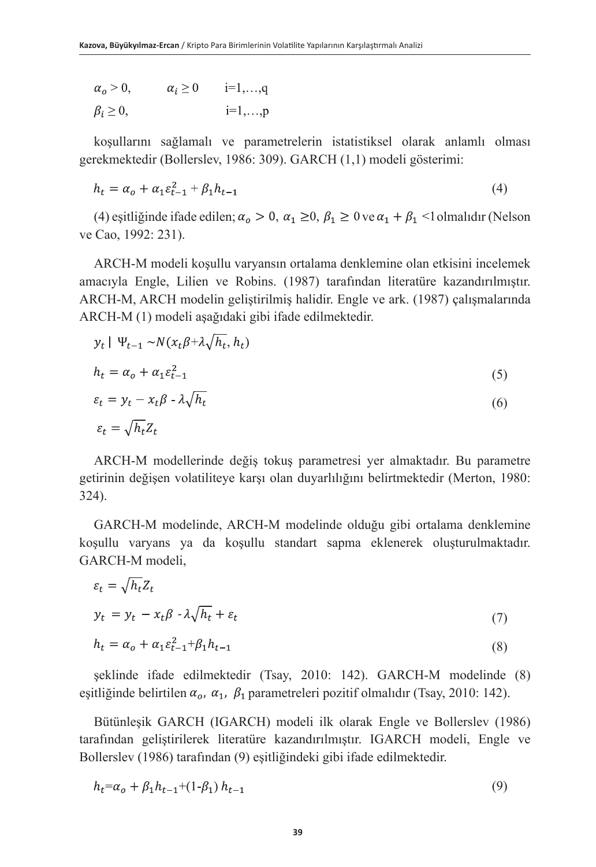| $\alpha_o > 0$ ,   | $\alpha_i \geq 0$ | $i=1,,q$       |
|--------------------|-------------------|----------------|
| $\beta_i \geq 0$ , |                   | $i=1,\ldots,p$ |

koşullarını sağlamalı ve parametrelerin istatistiksel olarak anlamlı olması gerekmektedir (Bollerslev, 1986: 309). GARCH (1,1) modeli gösterimi:

$$
h_t = \alpha_o + \alpha_1 \varepsilon_{t-1}^2 + \beta_1 h_{t-1} \tag{4}
$$

(4) eşitliğinde ifade edilen;  $\alpha_0 > 0$ ,  $\alpha_1 \ge 0$ ,  $\beta_1 \ge 0$  ve  $\alpha_1 + \beta_1$  < 1 olmalıdır (Nelson ve Cao, 1992: 231).

ARCH-M modeli koşullu varyansın ortalama denklemine olan etkisini incelemek amacıyla Engle, Lilien ve Robins. (1987) tarafından literatüre kazandırılmıştır. ARCH-M, ARCH modelin geliştirilmiş halidir. Engle ve ark. (1987) çalışmalarında ARCH-M (1) modeli aşağıdaki gibi ifade edilmektedir.

$$
y_t \mid \Psi_{t-1} \sim N(x_t \beta + \lambda \sqrt{h_t}, h_t)
$$
  

$$
h_t = \alpha_o + \alpha_1 \varepsilon_{t-1}^2
$$
 (5)

$$
\varepsilon_t = y_t - x_t \beta - \lambda \sqrt{h_t} \tag{6}
$$

$$
\varepsilon_t = \sqrt{h_t} Z_t
$$

ARCH-M modellerinde değiş tokuş parametresi yer almaktadır. Bu parametre getirinin değişen volatiliteye karşı olan duyarlılığını belirtmektedir (Merton, 1980: 324).

GARCH-M modelinde, ARCH-M modelinde olduğu gibi ortalama denklemine koşullu varyans ya da koşullu standart sapma eklenerek oluşturulmaktadır. GARCH-M modeli,

$$
\varepsilon_t = \sqrt{h_t} Z_t
$$

$$
y_t = y_t - x_t \beta - \lambda \sqrt{h_t} + \varepsilon_t \tag{7}
$$

$$
h_t = \alpha_o + \alpha_1 \varepsilon_{t-1}^2 + \beta_1 h_{t-1}
$$
\n(8)

şeklinde ifade edilmektedir (Tsay, 2010: 142). GARCH-M modelinde (8) eşitliğinde belirtilen  $\alpha_o$ ,  $\alpha_1$ ,  $\beta_1$  parametreleri pozitif olmalıdır (Tsay, 2010: 142).

Bütünleşik GARCH (IGARCH) modeli ilk olarak Engle ve Bollerslev (1986) tarafından geliştirilerek literatüre kazandırılmıştır. IGARCH modeli, Engle ve Bollerslev (1986) tarafından (9) eşitliğindeki gibi ifade edilmektedir.

$$
h_t = \alpha_o + \beta_1 h_{t-1} + (1 - \beta_1) h_{t-1} \tag{9}
$$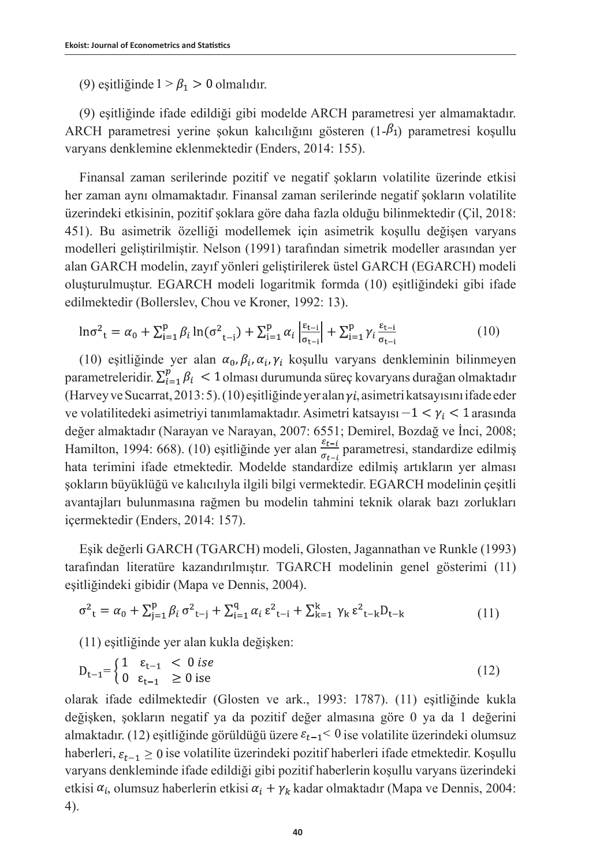(9) esitliğinde  $1 > \beta_1 > 0$  olmalıdır.

(9) eşitliğinde ifade edildiği gibi modelde ARCH parametresi yer almamaktadır. ARCH parametresi yerine şokun kalıcılığını gösteren  $(1-\beta_1)$  parametresi koşullu varyans denklemine eklenmektedir (Enders, 2014: 155).

Finansal zaman serilerinde pozitif ve negatif şokların volatilite üzerinde etkisi her zaman aynı olmamaktadır. Finansal zaman serilerinde negatif şokların volatilite üzerindeki etkisinin, pozitif şoklara göre daha fazla olduğu bilinmektedir (Çil, 2018: 451). Bu asimetrik özelliği modellemek için asimetrik koşullu değişen varyans modelleri geliştirilmiştir. Nelson (1991) tarafından simetrik modeller arasından yer alan GARCH modelin, zayıf yönleri geliştirilerek üstel GARCH (EGARCH) modeli oluşturulmuştur. EGARCH modeli logaritmik formda (10) eşitliğindeki gibi ifade edilmektedir (Bollerslev, Chou ve Kroner, 1992: 13).

$$
\ln \sigma_{t}^{2} = \alpha_{0} + \sum_{i=1}^{p} \beta_{i} \ln(\sigma_{t-i}^{2}) + \sum_{i=1}^{p} \alpha_{i} \left| \frac{\varepsilon_{t-i}}{\sigma_{t-i}} \right| + \sum_{i=1}^{p} \gamma_{i} \frac{\varepsilon_{t-i}}{\sigma_{t-i}}
$$
(10)

(10) eşitliğinde yer alan  $\alpha_0$ ,  $\beta_i$ ,  $\alpha_i$ ,  $\gamma_i$  koşullu varyans denkleminin bilinmeyen parametreleridir.  $\sum_{i=1}^{p} \beta_i$  < 1 olması durumunda süreç kovaryans durağan olmaktadır (Harvey ve Sucarrat, 2013: 5). (10) eşitliğinde yer alan  $\gamma i$ , asimetri katsayısını ifade eder ve volatilitedeki asimetriyi tanımlamaktadır. Asimetri katsayısı $-1 < \gamma_i < 1$  arasında değer almaktadır (Narayan ve Narayan, 2007: 6551; Demirel, Bozdağ ve İnci, 2008; Hamilton, 1994: 668). (10) eşitliğinde yer alan  $\frac{\varepsilon_{t-i}}{\sigma_{t-i}}$  parametresi, standardize edilmiş hata terimini ifade etmektedir. Modelde standardize edilmiş artıkların yer alması şokların büyüklüğü ve kalıcılıyla ilgili bilgi vermektedir. EGARCH modelinin çeşitli avantajları bulunmasına rağmen bu modelin tahmini teknik olarak bazı zorlukları içermektedir (Enders, 2014: 157).

Eşik değerli GARCH (TGARCH) modeli, Glosten, Jagannathan ve Runkle (1993) tarafından literatüre kazandırılmıştır. TGARCH modelinin genel gösterimi (11) eşitliğindeki gibidir (Mapa ve Dennis, 2004).

$$
\sigma^{2}_{t} = \alpha_{0} + \sum_{j=1}^{p} \beta_{i} \sigma^{2}_{t-j} + \sum_{i=1}^{q} \alpha_{i} \epsilon^{2}_{t-i} + \sum_{k=1}^{k} \gamma_{k} \epsilon^{2}_{t-k} D_{t-k}
$$
(11)

(11) eşitliğinde yer alan kukla değişken:

$$
D_{t-1} = \begin{cases} 1 & \varepsilon_{t-1} < 0 \text{ is } e \\ 0 & \varepsilon_{t-1} > 0 \text{ is } e \end{cases} \tag{12}
$$

olarak ifade edilmektedir (Glosten ve ark., 1993: 1787). (11) eşitliğinde kukla değişken, şokların negatif ya da pozitif değer almasına göre 0 ya da 1 değerini almaktadır. (12) eşitliğinde görüldüğü üzere  $\varepsilon_{t-1}$  os volatilite üzerindeki olumsuz haberleri,  $\varepsilon_{t-1} \geq 0$  ise volatilite üzerindeki pozitif haberleri ifade etmektedir. Koşullu varyans denkleminde ifade edildiği gibi pozitif haberlerin koşullu varyans üzerindeki etkisi  $\alpha_i$ , olumsuz haberlerin etkisi  $\alpha_i + \gamma_k$  kadar olmaktadır (Mapa ve Dennis, 2004: 4).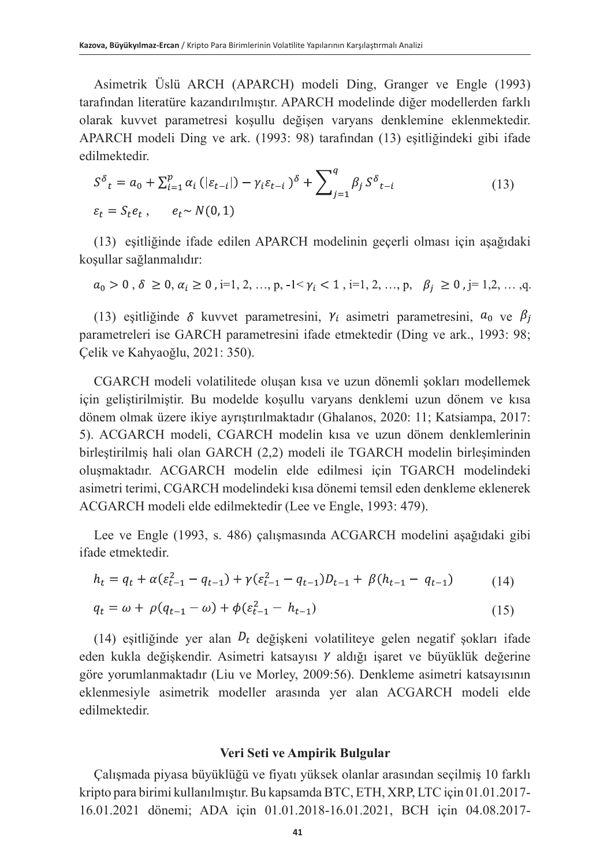Asimetrik Üslü ARCH (APARCH) modeli Ding, Granger ve Engle (1993) tarafından literatüre kazandırılmıştır. APARCH modelinde diğer modellerden farklı olarak kuvvet parametresi koşullu değişen varyans denklemine eklenmektedir. APARCH modeli Ding ve ark. (1993: 98) tarafından (13) eşitliğindeki gibi ifade edilmektedir.

$$
S^{\delta}{}_{t} = a_{0} + \sum_{i=1}^{p} \alpha_{i} \left( |\varepsilon_{t-i}| \right) - \gamma_{i} \varepsilon_{t-i} \left| \right\rangle^{\delta} + \sum_{j=1}^{q} \beta_{j} S^{\delta}{}_{t-i}
$$
\n
$$
\varepsilon_{t} = S_{t} e_{t}, \qquad e_{t} \sim N(0, 1)
$$
\n
$$
(13)
$$

(13) eşitliğinde ifade edilen APARCH modelinin geçerli olması için aşağıdaki koşullar sağlanmalıdır:

$$
a_0 > 0
$$
,  $\delta \ge 0$ ,  $\alpha_i \ge 0$ ,  $i=1, 2, ..., p, -1 < \gamma_i < 1$ ,  $i=1, 2, ..., p, \beta_j \ge 0$ ,  $j=1, 2, ..., q$ .

(13) esitliğinde  $\delta$  kuvvet parametresini,  $\gamma_i$  asimetri parametresini,  $a_0$  ve  $\beta_i$ parametreleri ise GARCH parametresini ifade etmektedir (Ding ve ark., 1993: 98; Çelik ve Kahyaoğlu, 2021: 350).

CGARCH modeli volatilitede oluşan kısa ve uzun dönemli şokları modellemek için geliştirilmiştir. Bu modelde koşullu varyans denklemi uzun dönem ve kısa dönem olmak üzere ikiye ayrıştırılmaktadır (Ghalanos, 2020: 11; Katsiampa, 2017: 5). ACGARCH modeli, CGARCH modelin kısa ve uzun dönem denklemlerinin birleştirilmiş hali olan GARCH (2,2) modeli ile TGARCH modelin birleşiminden oluşmaktadır. ACGARCH modelin elde edilmesi için TGARCH modelindeki asimetri terimi, CGARCH modelindeki kısa dönemi temsil eden denkleme eklenerek ACGARCH modeli elde edilmektedir (Lee ve Engle, 1993: 479).

Lee ve Engle (1993, s. 486) çalışmasında ACGARCH modelini aşağıdaki gibi ifade etmektedir.

$$
h_t = q_t + \alpha(\varepsilon_{t-1}^2 - q_{t-1}) + \gamma(\varepsilon_{t-1}^2 - q_{t-1})D_{t-1} + \beta(h_{t-1} - q_{t-1})
$$
(14)

$$
q_t = \omega + \rho (q_{t-1} - \omega) + \phi (\varepsilon_{t-1}^2 - h_{t-1})
$$
\n(15)

(14) eşitliğinde yer alan  $D_t$  değişkeni volatiliteye gelen negatif şokları ifade eden kukla değişkendir. Asimetri katsayısı  $\gamma$  aldığı işaret ve büyüklük değerine göre yorumlanmaktadır (Liu ve Morley, 2009:56). Denkleme asimetri katsayısının eklenmesiyle asimetrik modeller arasında yer alan ACGARCH modeli elde edilmektedir.

### **Veri Seti ve Ampirik Bulgular**

Çalışmada piyasa büyüklüğü ve fiyatı yüksek olanlar arasından seçilmiş 10 farklı kripto para birimi kullanılmıştır. Bu kapsamda BTC, ETH, XRP, LTC için 01.01.2017- 16.01.2021 dönemi; ADA için 01.01.2018-16.01.2021, BCH için 04.08.2017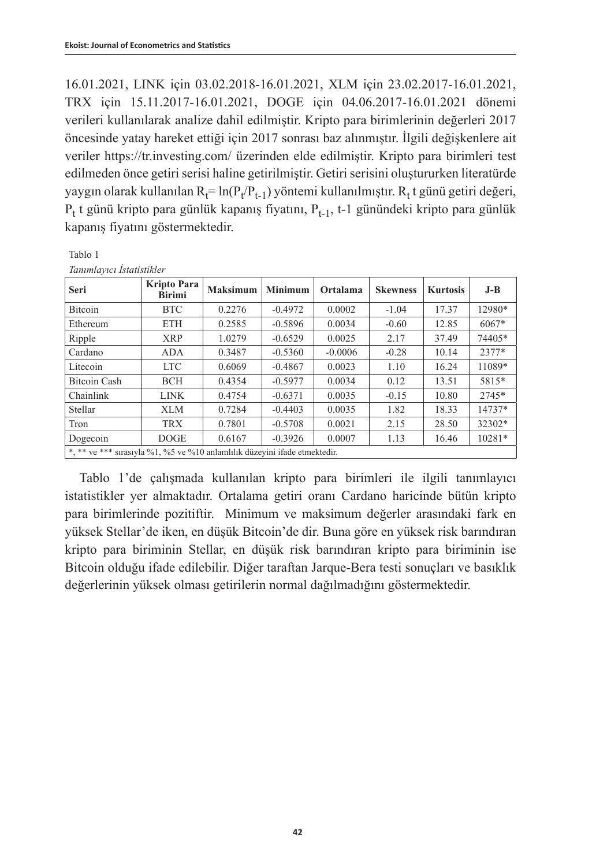16.01.2021, LINK için 03.02.2018-16.01.2021, XLM için 23.02.2017-16.01.2021, TRX için 15.11.2017-16.01.2021, DOGE için 04.06.2017-16.01.2021 dönemi verileri kullanılarak analize dahil edilmiştir. Kripto para birimlerinin değerleri 2017 öncesinde yatay hareket ettiği için 2017 sonrası baz alınmıştır. İlgili değişkenlere ait veriler https://tr.investing.com/ üzerinden elde edilmiştir. Kripto para birimleri test edilmeden önce getiri serisi haline getirilmiştir. Getiri serisini oluştururken literatürde yaygın olarak kullanılan  $\mathrm{R_{t}=ln(P_{t}/P_{t-1})}$  yöntemi kullanılmıştır.  $\mathrm{R_{t}}$ t günü getiri değeri,  $\mathrm{P_{t}}$ t günü kripto para günlük kapanış fiyatını,  $\mathrm{P_{t-1}}$ , t-1 günündeki kripto para günlük kapanış fiyatını göstermektedir.

Tablo 1

*Tanımlayıcı İstatistikler*

| Seri                                                                       | Kripto Para<br><b>Birimi</b> | <b>Maksimum</b> | <b>Minimum</b> | Ortalama  | <b>Skewness</b> | <b>Kurtosis</b> | $J-B$   |
|----------------------------------------------------------------------------|------------------------------|-----------------|----------------|-----------|-----------------|-----------------|---------|
| <b>Bitcoin</b>                                                             | <b>BTC</b>                   | 0.2276          | $-0.4972$      | 0.0002    | $-1.04$         | 17.37           | 12980*  |
| Ethereum                                                                   | <b>ETH</b>                   | 0.2585          | $-0.5896$      | 0.0034    | $-0.60$         | 12.85           | $6067*$ |
| Ripple                                                                     | <b>XRP</b>                   | 1.0279          | $-0.6529$      | 0.0025    | 2.17            | 37.49           | 74405*  |
| Cardano                                                                    | <b>ADA</b>                   | 0.3487          | $-0.5360$      | $-0.0006$ | $-0.28$         | 10.14           | 2377*   |
| Litecoin                                                                   | <b>LTC</b>                   | 0.6069          | $-0.4867$      | 0.0023    | 1.10            | 16.24           | 11089*  |
| Bitcoin Cash                                                               | <b>BCH</b>                   | 0.4354          | $-0.5977$      | 0.0034    | 0.12            | 13.51           | 5815*   |
| Chainlink                                                                  | <b>LINK</b>                  | 0.4754          | $-0.6371$      | 0.0035    | $-0.15$         | 10.80           | 2745*   |
| Stellar                                                                    | <b>XLM</b>                   | 0.7284          | $-0.4403$      | 0.0035    | 1.82            | 18.33           | 14737*  |
| Tron                                                                       | <b>TRX</b>                   | 0.7801          | $-0.5708$      | 0.0021    | 2.15            | 28.50           | 32302*  |
| Dogecoin                                                                   | <b>DOGE</b>                  | 0.6167          | $-0.3926$      | 0.0007    | 1.13            | 16.46           | 10281*  |
| *, ** ve *** sırasıyla %1, %5 ve %10 anlamlılık düzeyini ifade etmektedir. |                              |                 |                |           |                 |                 |         |

Tablo 1'de çalışmada kullanılan kripto para birimleri ile ilgili tanımlayıcı istatistikler yer almaktadır. Ortalama getiri oranı Cardano haricinde bütün kripto para birimlerinde pozitiftir. Minimum ve maksimum değerler arasındaki fark en yüksek Stellar'de iken, en düşük Bitcoin'de dir. Buna göre en yüksek risk barındıran kripto para biriminin Stellar, en düşük risk barındıran kripto para biriminin ise Bitcoin olduğu ifade edilebilir. Diğer taraftan Jarque-Bera testi sonuçları ve basıklık değerlerinin yüksek olması getirilerin normal dağılmadığını göstermektedir.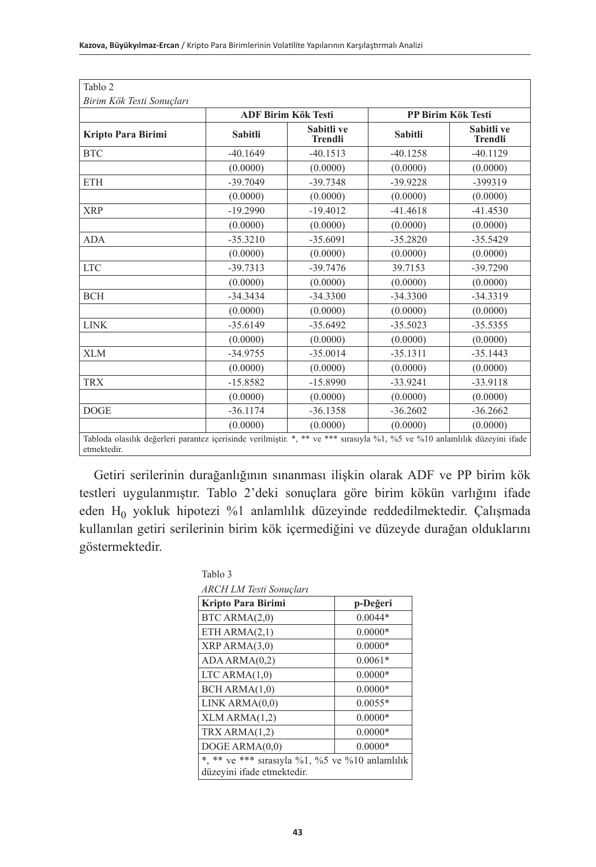|                    |                | <b>ADF Birim Kök Testi</b>   |                | PP Birim Kök Testi           |  |
|--------------------|----------------|------------------------------|----------------|------------------------------|--|
| Kripto Para Birimi | <b>Sabitli</b> | Sabitli ve<br><b>Trendli</b> | <b>Sabitli</b> | Sabitli ve<br><b>Trendli</b> |  |
| <b>BTC</b>         | $-40.1649$     | $-40.1513$                   | $-40.1258$     | $-40.1129$                   |  |
|                    | (0.0000)       | (0.0000)                     | (0.0000)       | (0.0000)                     |  |
| <b>ETH</b>         | $-39.7049$     | $-39.7348$                   | $-39.9228$     | -399319                      |  |
|                    | (0.0000)       | (0.0000)                     | (0.0000)       | (0.0000)                     |  |
| <b>XRP</b>         | $-19.2990$     | $-19.4012$                   | $-41.4618$     | $-41.4530$                   |  |
|                    | (0.0000)       | (0.0000)                     | (0.0000)       | (0.0000)                     |  |
| <b>ADA</b>         | $-35.3210$     | $-35.6091$                   | $-35.2820$     | $-35.5429$                   |  |
|                    | (0.0000)       | (0.0000)                     | (0.0000)       | (0.0000)                     |  |
| <b>LTC</b>         | $-39.7313$     | $-39.7476$                   | 39.7153        | $-39.7290$                   |  |
|                    | (0.0000)       | (0.0000)                     | (0.0000)       | (0.0000)                     |  |
| <b>BCH</b>         | $-34.3434$     | $-34.3300$                   | $-34.3300$     | $-34.3319$                   |  |
|                    | (0.0000)       | (0.0000)                     | (0.0000)       | (0.0000)                     |  |
| <b>LINK</b>        | $-35.6149$     | $-35.6492$                   | $-35.5023$     | $-35.5355$                   |  |
|                    | (0.0000)       | (0.0000)                     | (0.0000)       | (0.0000)                     |  |
| <b>XLM</b>         | $-34.9755$     | $-35.0014$                   | $-35.1311$     | $-35.1443$                   |  |
|                    | (0.0000)       | (0.0000)                     | (0.0000)       | (0.0000)                     |  |
| <b>TRX</b>         | $-15.8582$     | $-15.8990$                   | $-33.9241$     | $-33.9118$                   |  |
|                    | (0.0000)       | (0.0000)                     | (0.0000)       | (0.0000)                     |  |
| <b>DOGE</b>        | $-36.1174$     | $-36.1358$                   | $-36.2602$     | $-36.2662$                   |  |
|                    | (0.0000)       | (0.0000)                     | (0.0000)       | (0.0000)                     |  |

Getiri serilerinin durağanlığının sınanması ilişkin olarak ADF ve PP birim kök testleri uygulanmıştır. Tablo 2'deki sonuçlara göre birim kökün varlığını ifade eden H0 yokluk hipotezi %1 anlamlılık düzeyinde reddedilmektedir. Çalışmada kullanılan getiri serilerinin birim kök içermediğini ve düzeyde durağan olduklarını göstermektedir.

| ARCH LM Testi Sonuçları                                                       |  |  |  |  |  |  |  |  |  |
|-------------------------------------------------------------------------------|--|--|--|--|--|--|--|--|--|
| p-Değeri                                                                      |  |  |  |  |  |  |  |  |  |
| $0.0044*$                                                                     |  |  |  |  |  |  |  |  |  |
| $0.0000*$                                                                     |  |  |  |  |  |  |  |  |  |
| $0.0000*$                                                                     |  |  |  |  |  |  |  |  |  |
| $0.0061*$                                                                     |  |  |  |  |  |  |  |  |  |
| $0.0000*$                                                                     |  |  |  |  |  |  |  |  |  |
| $0.0000*$                                                                     |  |  |  |  |  |  |  |  |  |
| $0.0055*$                                                                     |  |  |  |  |  |  |  |  |  |
| $0.0000*$                                                                     |  |  |  |  |  |  |  |  |  |
| $0.0000*$                                                                     |  |  |  |  |  |  |  |  |  |
| $0.0000*$                                                                     |  |  |  |  |  |  |  |  |  |
| *, ** ve *** sırasıyla %1, %5 ve %10 anlamlılık<br>düzeyini ifade etmektedir. |  |  |  |  |  |  |  |  |  |
|                                                                               |  |  |  |  |  |  |  |  |  |

**43**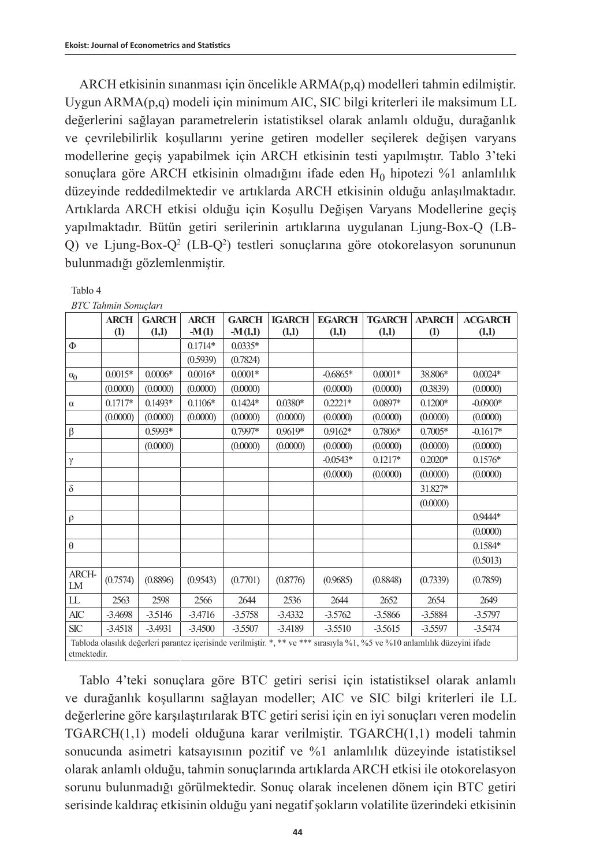Tablo 4

ARCH etkisinin sınanması için öncelikle ARMA(p,q) modelleri tahmin edilmiştir. Uygun ARMA(p,q) modeli için minimum AIC, SIC bilgi kriterleri ile maksimum LL değerlerini sağlayan parametrelerin istatistiksel olarak anlamlı olduğu, durağanlık ve çevrilebilirlik koşullarını yerine getiren modeller seçilerek değişen varyans modellerine geçiş yapabilmek için ARCH etkisinin testi yapılmıştır. Tablo 3'teki sonuçlara göre ARCH etkisinin olmadığını ifade eden  $H_0$  hipotezi %1 anlamlılık düzeyinde reddedilmektedir ve artıklarda ARCH etkisinin olduğu anlaşılmaktadır. Artıklarda ARCH etkisi olduğu için Koşullu Değişen Varyans Modellerine geçiş yapılmaktadır. Bütün getiri serilerinin artıklarına uygulanan Ljung-Box-Q (LB-Q) ve Ljung-Box-Q<sup>2</sup> (LB-Q<sup>2</sup>) testleri sonuçlarına göre otokorelasyon sorununun bulunmadığı gözlemlenmiştir.

|             | <b>BTC Tahmin Sonuclari</b> |              |             |              |               |                                                                                                                            |               |                  |                |
|-------------|-----------------------------|--------------|-------------|--------------|---------------|----------------------------------------------------------------------------------------------------------------------------|---------------|------------------|----------------|
|             | <b>ARCH</b>                 | <b>GARCH</b> | <b>ARCH</b> | <b>GARCH</b> | <b>IGARCH</b> | <b>EGARCH</b>                                                                                                              | <b>TGARCH</b> | <b>APARCH</b>    | <b>ACGARCH</b> |
|             | $\left(1\right)$            | (1,1)        | $-M(1)$     | $-M(1,1)$    | (1,1)         | (1,1)                                                                                                                      | (1,1)         | $\left(1\right)$ | (1,1)          |
| $\Phi$      |                             |              | $0.1714*$   | $0.0335*$    |               |                                                                                                                            |               |                  |                |
|             |                             |              | (0.5939)    | (0.7824)     |               |                                                                                                                            |               |                  |                |
| $\alpha_0$  | $0.0015*$                   | $0.0006*$    | $0.0016*$   | $0.0001*$    |               | $-0.6865*$                                                                                                                 | $0.0001*$     | 38.806*          | $0.0024*$      |
|             | (0.0000)                    | (0.0000)     | (0.0000)    | (0.0000)     |               | (0.0000)                                                                                                                   | (0.0000)      | (0.3839)         | (0.0000)       |
| $\alpha$    | $0.1717*$                   | $0.1493*$    | $0.1106*$   | $0.1424*$    | $0.0380*$     | $0.2221*$                                                                                                                  | $0.0897*$     | $0.1200*$        | $-0.0900*$     |
|             | (0.0000)                    | (0.0000)     | (0.0000)    | (0.0000)     | (0.0000)      | (0.0000)                                                                                                                   | (0.0000)      | (0.0000)         | (0.0000)       |
| $\beta$     |                             | 0.5993*      |             | $0.7997*$    | 0.9619*       | $0.9162*$                                                                                                                  | $0.7806*$     | $0.7005*$        | $-0.1617*$     |
|             |                             | (0.0000)     |             | (0.0000)     | (0.0000)      | (0.0000)                                                                                                                   | (0.0000)      | (0.0000)         | (0.0000)       |
| γ           |                             |              |             |              |               | $-0.0543*$                                                                                                                 | $0.1217*$     | $0.2020*$        | $0.1576*$      |
|             |                             |              |             |              |               | (0.0000)                                                                                                                   | (0.0000)      | (0.0000)         | (0.0000)       |
| $\delta$    |                             |              |             |              |               |                                                                                                                            |               | 31.827*          |                |
|             |                             |              |             |              |               |                                                                                                                            |               | (0.0000)         |                |
| $\rho$      |                             |              |             |              |               |                                                                                                                            |               |                  | $0.9444*$      |
|             |                             |              |             |              |               |                                                                                                                            |               |                  | (0.0000)       |
| $\theta$    |                             |              |             |              |               |                                                                                                                            |               |                  | $0.1584*$      |
|             |                             |              |             |              |               |                                                                                                                            |               |                  | (0.5013)       |
| ARCH-<br>LM | (0.7574)                    | (0.8896)     | (0.9543)    | (0.7701)     | (0.8776)      | (0.9685)                                                                                                                   | (0.8848)      | (0.7339)         | (0.7859)       |
| LL          | 2563                        | 2598         | 2566        | 2644         | 2536          | 2644                                                                                                                       | 2652          | 2654             | 2649           |
| <b>AIC</b>  | $-3.4698$                   | $-3.5146$    | $-3.4716$   | $-3.5758$    | $-3.4332$     | $-3.5762$                                                                                                                  | $-3.5866$     | $-3.5884$        | $-3.5797$      |
| <b>SIC</b>  | $-3.4518$                   | $-3.4931$    | $-3.4500$   | $-3.5507$    | $-3.4189$     | $-3.5510$                                                                                                                  | $-3.5615$     | $-3.5597$        | $-3.5474$      |
|             |                             |              |             |              |               | Tabloda olasılık değerleri parantez içerisinde verilmiştir. *, ** ve *** sırasıyla %1, %5 ve %10 anlamlılık düzeyini ifade |               |                  |                |
| etmektedir. |                             |              |             |              |               |                                                                                                                            |               |                  |                |

Tablo 4'teki sonuçlara göre BTC getiri serisi için istatistiksel olarak anlamlı ve durağanlık koşullarını sağlayan modeller; AIC ve SIC bilgi kriterleri ile LL değerlerine göre karşılaştırılarak BTC getiri serisi için en iyi sonuçları veren modelin TGARCH(1,1) modeli olduğuna karar verilmiştir. TGARCH(1,1) modeli tahmin sonucunda asimetri katsayısının pozitif ve %1 anlamlılık düzeyinde istatistiksel olarak anlamlı olduğu, tahmin sonuçlarında artıklarda ARCH etkisi ile otokorelasyon sorunu bulunmadığı görülmektedir. Sonuç olarak incelenen dönem için BTC getiri serisinde kaldıraç etkisinin olduğu yani negatif şokların volatilite üzerindeki etkisinin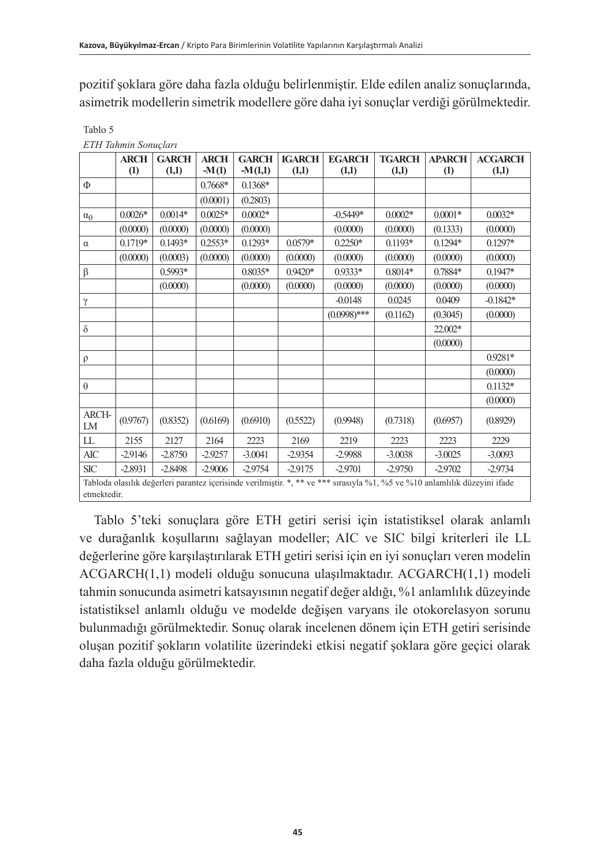pozitif şoklara göre daha fazla olduğu belirlenmiştir. Elde edilen analiz sonuçlarında, asimetrik modellerin simetrik modellere göre daha iyi sonuçlar verdiği görülmektedir.

|             | <b>ARCH</b> | <b>GARCH</b> | <b>ARCH</b> | <b>GARCH</b> | <b>IGARCH</b> | <b>EGARCH</b>                                                                                                              | <b>TGARCH</b> | <b>APARCH</b> | <b>ACGARCH</b> |  |
|-------------|-------------|--------------|-------------|--------------|---------------|----------------------------------------------------------------------------------------------------------------------------|---------------|---------------|----------------|--|
|             | (1)         | (1,1)        | $-M(1)$     | $-M(1,1)$    | (1,1)         | (1,1)                                                                                                                      | (1,1)         | (1)           | (1,1)          |  |
| Φ           |             |              | 0.7668*     | $0.1368*$    |               |                                                                                                                            |               |               |                |  |
|             |             |              | (0.0001)    | (0.2803)     |               |                                                                                                                            |               |               |                |  |
| $\alpha_0$  | $0.0026*$   | $0.0014*$    | $0.0025*$   | $0.0002*$    |               | $-0.5449*$                                                                                                                 | $0.0002*$     | $0.0001*$     | $0.0032*$      |  |
|             | (0.0000)    | (0.0000)     | (0.0000)    | (0.0000)     |               | (0.0000)                                                                                                                   | (0.0000)      | (0.1333)      | (0.0000)       |  |
| $\alpha$    | $0.1719*$   | $0.1493*$    | $0.2553*$   | $0.1293*$    | $0.0579*$     | $0.2250*$                                                                                                                  | $0.1193*$     | $0.1294*$     | $0.1297*$      |  |
|             | (0.0000)    | (0.0003)     | (0.0000)    | (0.0000)     | (0.0000)      | (0.0000)                                                                                                                   | (0.0000)      | (0.0000)      | (0.0000)       |  |
| $\beta$     |             | 0.5993*      |             | $0.8035*$    | $0.9420*$     | $0.9333*$                                                                                                                  | $0.8014*$     | 0.7884*       | $0.1947*$      |  |
|             |             | (0.0000)     |             | (0.0000)     | (0.0000)      | (0.0000)                                                                                                                   | (0.0000)      | (0.0000)      | (0.0000)       |  |
| γ           |             |              |             |              |               | $-0.0148$                                                                                                                  | 0.0245        | 0.0409        | $-0.1842*$     |  |
|             |             |              |             |              |               | $(0.0998)$ ***                                                                                                             | (0.1162)      | (0.3045)      | (0.0000)       |  |
| $\delta$    |             |              |             |              |               |                                                                                                                            |               | 22.002*       |                |  |
|             |             |              |             |              |               |                                                                                                                            |               | (0.0000)      |                |  |
| $\rho$      |             |              |             |              |               |                                                                                                                            |               |               | $0.9281*$      |  |
|             |             |              |             |              |               |                                                                                                                            |               |               | (0.0000)       |  |
| $\theta$    |             |              |             |              |               |                                                                                                                            |               |               | $0.1132*$      |  |
|             |             |              |             |              |               |                                                                                                                            |               |               | (0.0000)       |  |
| ARCH-<br>LM | (0.9767)    | (0.8352)     | (0.6169)    | (0.6910)     | (0.5522)      | (0.9948)                                                                                                                   | (0.7318)      | (0.6957)      | (0.8929)       |  |
| LL          | 2155        | 2127         | 2164        | 2223         | 2169          | 2219                                                                                                                       | 2223          | 2223          | 2229           |  |
| AIC         | $-2.9146$   | $-2.8750$    | $-2.9257$   | $-3.0041$    | $-2.9354$     | $-2.9988$                                                                                                                  | $-3.0038$     | $-3.0025$     | $-3.0093$      |  |
| <b>SIC</b>  | $-2.8931$   | $-2.8498$    | $-2.9006$   | $-2.9754$    | $-2.9175$     | $-2.9701$                                                                                                                  | $-2.9750$     | $-2.9702$     | $-2.9734$      |  |
|             |             |              |             |              |               | Tabloda olasılık değerleri parantez içerisinde verilmiştir. *, ** ve *** sırasıyla %1, %5 ve %10 anlamlılık düzeyini ifade |               |               |                |  |
| etmektedir. |             |              |             |              |               |                                                                                                                            |               |               |                |  |

Tablo 5 *ETH Tahmin Sonuçları*

Tablo 5'teki sonuçlara göre ETH getiri serisi için istatistiksel olarak anlamlı ve durağanlık koşullarını sağlayan modeller; AIC ve SIC bilgi kriterleri ile LL değerlerine göre karşılaştırılarak ETH getiri serisi için en iyi sonuçları veren modelin ACGARCH(1,1) modeli olduğu sonucuna ulaşılmaktadır. ACGARCH(1,1) modeli tahmin sonucunda asimetri katsayısının negatif değer aldığı, %1 anlamlılık düzeyinde istatistiksel anlamlı olduğu ve modelde değişen varyans ile otokorelasyon sorunu bulunmadığı görülmektedir. Sonuç olarak incelenen dönem için ETH getiri serisinde oluşan pozitif şokların volatilite üzerindeki etkisi negatif şoklara göre geçici olarak daha fazla olduğu görülmektedir.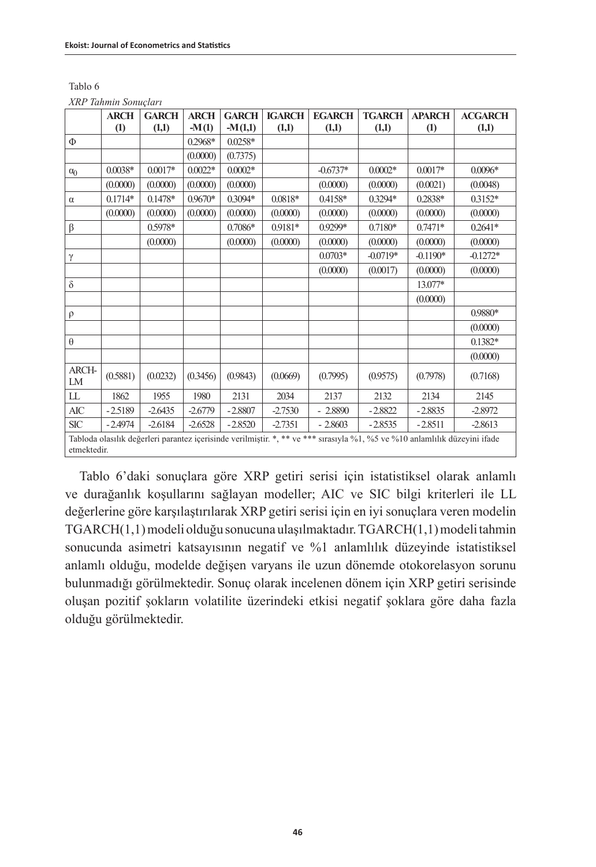| Tablo 6              |  |
|----------------------|--|
| XRP Tahmin Sonucları |  |

|             | <b>ARCH</b>      | <b>GARCH</b> | <b>ARCH</b> | <b>GARCH</b> | <b>IGARCH</b>   | <b>EGARCH</b>                                                                                                              | <b>TGARCH</b> | <b>APARCH</b> | <b>ACGARCH</b> |
|-------------|------------------|--------------|-------------|--------------|-----------------|----------------------------------------------------------------------------------------------------------------------------|---------------|---------------|----------------|
|             | $\left(1\right)$ | (1,1)        | $-M(1)$     | $-M(1,1)$    | (1,1)           | (1,1)                                                                                                                      | (1,1)         | (1)           | (1,1)          |
| Φ           |                  |              | 0.2968*     | $0.0258*$    |                 |                                                                                                                            |               |               |                |
|             |                  |              | (0.0000)    | (0.7375)     |                 |                                                                                                                            |               |               |                |
| $\alpha_0$  | $0.0038*$        | $0.0017*$    | $0.0022*$   | $0.0002*$    |                 | $-0.6737*$                                                                                                                 | $0.0002*$     | $0.0017*$     | $0.0096*$      |
|             | (0.0000)         | (0.0000)     | (0.0000)    | (0.0000)     |                 | (0.0000)                                                                                                                   | (0.0000)      | (0.0021)      | (0.0048)       |
| $\alpha$    | $0.1714*$        | $0.1478*$    | 0.9670*     | $0.3094*$    | $0.0818^{\ast}$ | 0.4158*                                                                                                                    | $0.3294*$     | 0.2838*       | $0.3152*$      |
|             | (0.0000)         | (0.0000)     | (0.0000)    | (0.0000)     | (0.0000)        | (0.0000)                                                                                                                   | (0.0000)      | (0.0000)      | (0.0000)       |
| β           |                  | 0.5978*      |             | $0.7086*$    | 0.9181*         | 0.9299*                                                                                                                    | $0.7180*$     | $0.7471*$     | $0.2641*$      |
|             |                  | (0.0000)     |             | (0.0000)     | (0.0000)        | (0.0000)                                                                                                                   | (0.0000)      | (0.0000)      | (0.0000)       |
| γ           |                  |              |             |              |                 | $0.0703*$                                                                                                                  | $-0.0719*$    | $-0.1190*$    | $-0.1272*$     |
|             |                  |              |             |              |                 | (0.0000)                                                                                                                   | (0.0017)      | (0.0000)      | (0.0000)       |
| $\delta$    |                  |              |             |              |                 |                                                                                                                            |               | 13.077*       |                |
|             |                  |              |             |              |                 |                                                                                                                            |               | (0.0000)      |                |
| $\rho$      |                  |              |             |              |                 |                                                                                                                            |               |               | 0.9880*        |
|             |                  |              |             |              |                 |                                                                                                                            |               |               | (0.0000)       |
| $\theta$    |                  |              |             |              |                 |                                                                                                                            |               |               | $0.1382*$      |
|             |                  |              |             |              |                 |                                                                                                                            |               |               | (0.0000)       |
| ARCH-<br>LM | (0.5881)         | (0.0232)     | (0.3456)    | (0.9843)     | (0.0669)        | (0.7995)                                                                                                                   | (0.9575)      | (0.7978)      | (0.7168)       |
| LL          | 1862             | 1955         | 1980        | 2131         | 2034            | 2137                                                                                                                       | 2132          | 2134          | 2145           |
| AIC         | $-2.5189$        | $-2.6435$    | $-2.6779$   | $-2.8807$    | $-2.7530$       | $-2.8890$                                                                                                                  | $-2.8822$     | $-2.8835$     | $-2.8972$      |
| <b>SIC</b>  | $-2.4974$        | $-2.6184$    | $-2.6528$   | $-2.8520$    | $-2.7351$       | $-2.8603$                                                                                                                  | $-2.8535$     | $-2.8511$     | $-2.8613$      |
|             |                  |              |             |              |                 | Tabloda olasılık değerleri parantez içerisinde verilmiştir. *, ** ve *** sırasıyla %1, %5 ve %10 anlamlılık düzeyini ifade |               |               |                |
| etmektedir. |                  |              |             |              |                 |                                                                                                                            |               |               |                |

Tablo 6'daki sonuçlara göre XRP getiri serisi için istatistiksel olarak anlamlı ve durağanlık koşullarını sağlayan modeller; AIC ve SIC bilgi kriterleri ile LL değerlerine göre karşılaştırılarak XRP getiri serisi için en iyi sonuçlara veren modelin TGARCH(1,1) modeli olduğu sonucuna ulaşılmaktadır. TGARCH(1,1) modeli tahmin sonucunda asimetri katsayısının negatif ve %1 anlamlılık düzeyinde istatistiksel anlamlı olduğu, modelde değişen varyans ile uzun dönemde otokorelasyon sorunu bulunmadığı görülmektedir. Sonuç olarak incelenen dönem için XRP getiri serisinde oluşan pozitif şokların volatilite üzerindeki etkisi negatif şoklara göre daha fazla olduğu görülmektedir.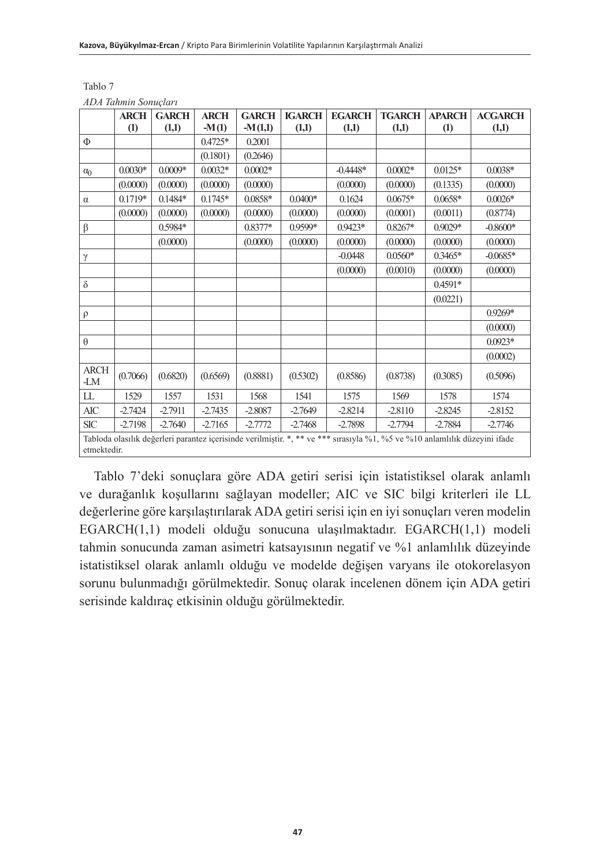|                    | <b>ARCH</b>       | <b>GARCH</b> | <b>ARCH</b> | <b>GARCH</b> | <b>IGARCH</b> | <b>EGARCH</b>                                                                                                              | <b>TGARCH</b> | <b>APARCH</b>     | <b>ACGARCH</b> |
|--------------------|-------------------|--------------|-------------|--------------|---------------|----------------------------------------------------------------------------------------------------------------------------|---------------|-------------------|----------------|
|                    | $\left( 1\right)$ | (1,1)        | $-M(1)$     | $-M(1,1)$    | (1,1)         | (1,1)                                                                                                                      | (1,1)         | $\left( 1\right)$ | (1,1)          |
| $\Phi$             |                   |              | $0.4725*$   | 0.2001       |               |                                                                                                                            |               |                   |                |
|                    |                   |              | (0.1801)    | (0.2646)     |               |                                                                                                                            |               |                   |                |
| $\alpha_0$         | $0.0030*$         | $0.0009*$    | $0.0032*$   | $0.0002*$    |               | $-0.4448*$                                                                                                                 | $0.0002*$     | $0.0125*$         | $0.0038*$      |
|                    | (0.0000)          | (0.0000)     | (0.0000)    | (0.0000)     |               | (0.0000)                                                                                                                   | (0.0000)      | (0.1335)          | (0.0000)       |
| $\alpha$           | $0.1719*$         | $0.1484*$    | $0.1745*$   | 0.0858*      | $0.0400*$     | 0.1624                                                                                                                     | $0.0675*$     | $0.0658*$         | $0.0026*$      |
|                    | (0.0000)          | (0.0000)     | (0.0000)    | (0.0000)     | (0.0000)      | (0.0000)                                                                                                                   | (0.0001)      | (0.0011)          | (0.8774)       |
| β                  |                   | 0.5984*      |             | $0.8377*$    | 0.9599*       | 0.9423*                                                                                                                    | $0.8267*$     | $0.9029*$         | $-0.8600*$     |
|                    |                   | (0.0000)     |             | (0.0000)     | (0.0000)      | (0.0000)                                                                                                                   | (0.0000)      | (0.0000)          | (0.0000)       |
| $\gamma$           |                   |              |             |              |               | $-0.0448$                                                                                                                  | $0.0560*$     | $0.3465*$         | $-0.0685*$     |
|                    |                   |              |             |              |               | (0.0000)                                                                                                                   | (0.0010)      | (0.0000)          | (0.0000)       |
| $\delta$           |                   |              |             |              |               |                                                                                                                            |               | $0.4591*$         |                |
|                    |                   |              |             |              |               |                                                                                                                            |               | (0.0221)          |                |
| $\rho$             |                   |              |             |              |               |                                                                                                                            |               |                   | $0.9269*$      |
|                    |                   |              |             |              |               |                                                                                                                            |               |                   | (0.0000)       |
| $\theta$           |                   |              |             |              |               |                                                                                                                            |               |                   | $0.0923*$      |
|                    |                   |              |             |              |               |                                                                                                                            |               |                   | (0.0002)       |
| <b>ARCH</b><br>-LM | (0.7066)          | (0.6820)     | (0.6569)    | (0.8881)     | (0.5302)      | (0.8586)                                                                                                                   | (0.8738)      | (0.3085)          | (0.5096)       |
| LL                 | 1529              | 1557         | 1531        | 1568         | 1541          | 1575                                                                                                                       | 1569          | 1578              | 1574           |
| AIC                | $-2.7424$         | $-2.7911$    | $-2.7435$   | $-2.8087$    | $-2.7649$     | $-2.8214$                                                                                                                  | $-2.8110$     | $-2.8245$         | $-2.8152$      |
| $SIC$              | $-2.7198$         | $-2.7640$    | $-2.7165$   | $-2.7772$    | $-2.7468$     | $-2.7898$                                                                                                                  | $-2.7794$     | $-2.7884$         | $-2.7746$      |
|                    |                   |              |             |              |               | Tabloda olasılık değerleri parantez içerisinde verilmiştir. *, ** ve *** sırasıyla %1, %5 ve %10 anlamlılık düzeyini ifade |               |                   |                |
| etmektedir.        |                   |              |             |              |               |                                                                                                                            |               |                   |                |

Tablo 7 *ADA Tahmin Sonuçları*

Tablo 7'deki sonuçlara göre ADA getiri serisi için istatistiksel olarak anlamlı ve durağanlık koşullarını sağlayan modeller; AIC ve SIC bilgi kriterleri ile LL değerlerine göre karşılaştırılarak ADA getiri serisi için en iyi sonuçları veren modelin EGARCH(1,1) modeli olduğu sonucuna ulaşılmaktadır. EGARCH(1,1) modeli tahmin sonucunda zaman asimetri katsayısının negatif ve %1 anlamlılık düzeyinde istatistiksel olarak anlamlı olduğu ve modelde değişen varyans ile otokorelasyon sorunu bulunmadığı görülmektedir. Sonuç olarak incelenen dönem için ADA getiri serisinde kaldıraç etkisinin olduğu görülmektedir.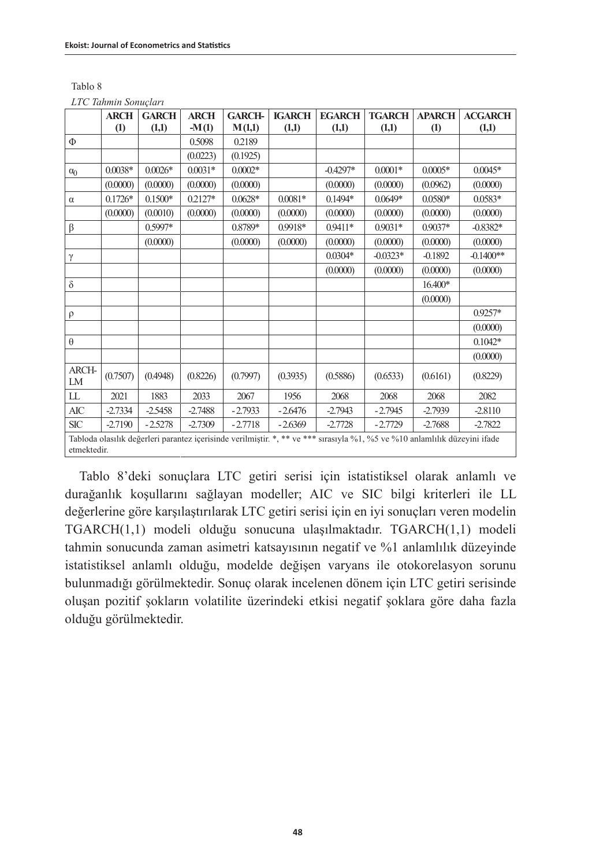| Tablo 8              |
|----------------------|
| LTC Tahmin Sonuçları |

|             | <b>ARCH</b>       | <b>GARCH</b> | <b>ARCH</b> | <b>GARCH-</b> | <b>IGARCH</b> | <b>EGARCH</b>                                                                                                              | <b>TGARCH</b> | <b>APARCH</b> | <b>ACGARCH</b> |
|-------------|-------------------|--------------|-------------|---------------|---------------|----------------------------------------------------------------------------------------------------------------------------|---------------|---------------|----------------|
|             |                   |              |             |               |               |                                                                                                                            |               |               |                |
|             | $\left( 1\right)$ | (1,1)        | $-M(1)$     | M(1,1)        | (1,1)         | (1,1)                                                                                                                      | (1,1)         | (1)           | (1,1)          |
| Φ           |                   |              | 0.5098      | 0.2189        |               |                                                                                                                            |               |               |                |
|             |                   |              | (0.0223)    | (0.1925)      |               |                                                                                                                            |               |               |                |
| $\alpha_0$  | $0.0038*$         | $0.0026*$    | $0.0031*$   | $0.0002*$     |               | $-0.4297*$                                                                                                                 | $0.0001*$     | $0.0005*$     | $0.0045*$      |
|             | (0.0000)          | (0.0000)     | (0.0000)    | (0.0000)      |               | (0.0000)                                                                                                                   | (0.0000)      | (0.0962)      | (0.0000)       |
| $\alpha$    | $0.1726*$         | $0.1500*$    | 0.2127*     | $0.0628*$     | $0.0081*$     | $0.1494*$                                                                                                                  | $0.0649*$     | $0.0580*$     | $0.0583*$      |
|             | (0.0000)          | (0.0010)     | (0.0000)    | (0.0000)      | (0.0000)      | (0.0000)                                                                                                                   | (0.0000)      | (0.0000)      | (0.0000)       |
| β           |                   | 0.5997*      |             | 0.8789*       | 0.9918*       | 0.9411*                                                                                                                    | $0.9031*$     | $0.9037*$     | $-0.8382*$     |
|             |                   | (0.0000)     |             | (0.0000)      | (0.0000)      | (0.0000)                                                                                                                   | (0.0000)      | (0.0000)      | (0.0000)       |
| γ           |                   |              |             |               |               | $0.0304*$                                                                                                                  | $-0.0323*$    | $-0.1892$     | $-0.1400**$    |
|             |                   |              |             |               |               | (0.0000)                                                                                                                   | (0.0000)      | (0.0000)      | (0.0000)       |
| $\delta$    |                   |              |             |               |               |                                                                                                                            |               | 16.400*       |                |
|             |                   |              |             |               |               |                                                                                                                            |               | (0.0000)      |                |
| $\rho$      |                   |              |             |               |               |                                                                                                                            |               |               | $0.9257*$      |
|             |                   |              |             |               |               |                                                                                                                            |               |               | (0.0000)       |
| $\theta$    |                   |              |             |               |               |                                                                                                                            |               |               | $0.1042*$      |
|             |                   |              |             |               |               |                                                                                                                            |               |               | (0.0000)       |
| ARCH-<br>LM | (0.7507)          | (0.4948)     | (0.8226)    | (0.7997)      | (0.3935)      | (0.5886)                                                                                                                   | (0.6533)      | (0.6161)      | (0.8229)       |
| LL          | 2021              | 1883         | 2033        | 2067          | 1956          | 2068                                                                                                                       | 2068          | 2068          | 2082           |
| $\rm AIC$   | $-2.7334$         | $-2.5458$    | $-2.7488$   | $-2.7933$     | $-2.6476$     | $-2.7943$                                                                                                                  | $-2.7945$     | $-2.7939$     | $-2.8110$      |
| <b>SIC</b>  | $-2.7190$         | $-2.5278$    | $-2.7309$   | $-2.7718$     | $-2.6369$     | $-2.7728$                                                                                                                  | $-2.7729$     | $-2.7688$     | $-2.7822$      |
|             |                   |              |             |               |               | Tabloda olasılık değerleri parantez içerisinde verilmiştir. *, ** ve *** sırasıyla %1, %5 ve %10 anlamlılık düzeyini ifade |               |               |                |
| etmektedir. |                   |              |             |               |               |                                                                                                                            |               |               |                |

Tablo 8'deki sonuçlara LTC getiri serisi için istatistiksel olarak anlamlı ve durağanlık koşullarını sağlayan modeller; AIC ve SIC bilgi kriterleri ile LL değerlerine göre karşılaştırılarak LTC getiri serisi için en iyi sonuçları veren modelin TGARCH(1,1) modeli olduğu sonucuna ulaşılmaktadır. TGARCH(1,1) modeli tahmin sonucunda zaman asimetri katsayısının negatif ve %1 anlamlılık düzeyinde istatistiksel anlamlı olduğu, modelde değişen varyans ile otokorelasyon sorunu bulunmadığı görülmektedir. Sonuç olarak incelenen dönem için LTC getiri serisinde oluşan pozitif şokların volatilite üzerindeki etkisi negatif şoklara göre daha fazla olduğu görülmektedir.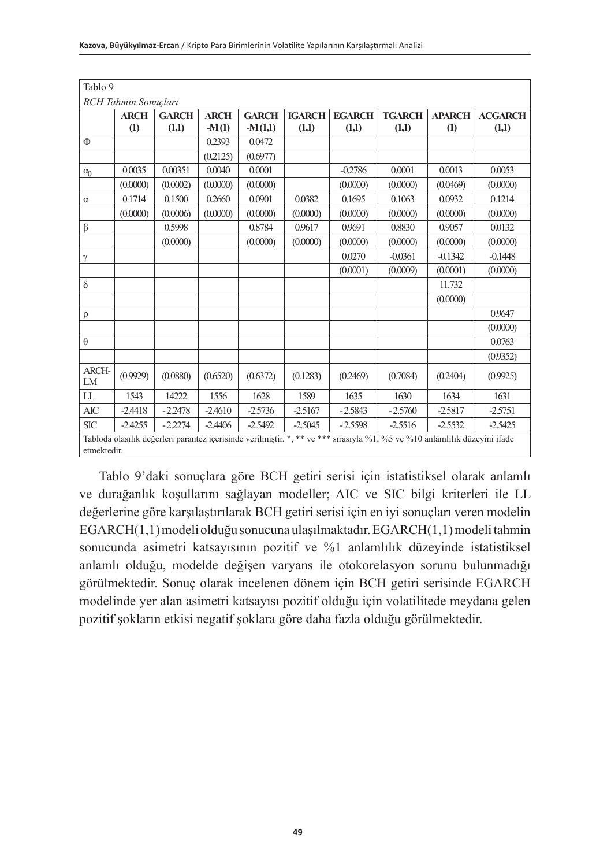| Tablo 9                                                                                                                                   |             |              |             |              |               |               |               |               |                |  |  |
|-------------------------------------------------------------------------------------------------------------------------------------------|-------------|--------------|-------------|--------------|---------------|---------------|---------------|---------------|----------------|--|--|
| <b>BCH</b> Tahmin Sonucları                                                                                                               |             |              |             |              |               |               |               |               |                |  |  |
|                                                                                                                                           | <b>ARCH</b> | <b>GARCH</b> | <b>ARCH</b> | <b>GARCH</b> | <b>IGARCH</b> | <b>EGARCH</b> | <b>TGARCH</b> | <b>APARCH</b> | <b>ACGARCH</b> |  |  |
|                                                                                                                                           | (1)         | (1,1)        | $-M(1)$     | $-M(1,1)$    | (1,1)         | (1,1)         | (1,1)         | (1)           | (1,1)          |  |  |
| Φ                                                                                                                                         |             |              | 0.2393      | 0.0472       |               |               |               |               |                |  |  |
|                                                                                                                                           |             |              | (0.2125)    | (0.6977)     |               |               |               |               |                |  |  |
| $\alpha_0$                                                                                                                                | 0.0035      | 0.00351      | 0.0040      | 0.0001       |               | $-0.2786$     | 0.0001        | 0.0013        | 0.0053         |  |  |
|                                                                                                                                           | (0.0000)    | (0.0002)     | (0.0000)    | (0.0000)     |               | (0.0000)      | (0.0000)      | (0.0469)      | (0.0000)       |  |  |
| $\alpha$                                                                                                                                  | 0.1714      | 0.1500       | 0.2660      | 0.0901       | 0.0382        | 0.1695        | 0.1063        | 0.0932        | 0.1214         |  |  |
|                                                                                                                                           | (0.0000)    | (0.0006)     | (0.0000)    | (0.0000)     | (0.0000)      | (0.0000)      | (0.0000)      | (0.0000)      | (0.0000)       |  |  |
| β                                                                                                                                         |             | 0.5998       |             | 0.8784       | 0.9617        | 0.9691        | 0.8830        | 0.9057        | 0.0132         |  |  |
|                                                                                                                                           |             | (0.0000)     |             | (0.0000)     | (0.0000)      | (0.0000)      | (0.0000)      | (0.0000)      | (0.0000)       |  |  |
| γ                                                                                                                                         |             |              |             |              |               | 0.0270        | $-0.0361$     | $-0.1342$     | $-0.1448$      |  |  |
|                                                                                                                                           |             |              |             |              |               | (0.0001)      | (0.0009)      | (0.0001)      | (0.0000)       |  |  |
| $\delta$                                                                                                                                  |             |              |             |              |               |               |               | 11.732        |                |  |  |
|                                                                                                                                           |             |              |             |              |               |               |               | (0.0000)      |                |  |  |
| $\rho$                                                                                                                                    |             |              |             |              |               |               |               |               | 0.9647         |  |  |
|                                                                                                                                           |             |              |             |              |               |               |               |               | (0.0000)       |  |  |
| $\theta$                                                                                                                                  |             |              |             |              |               |               |               |               | 0.0763         |  |  |
|                                                                                                                                           |             |              |             |              |               |               |               |               | (0.9352)       |  |  |
| ARCH-<br>LM                                                                                                                               | (0.9929)    | (0.0880)     | (0.6520)    | (0.6372)     | (0.1283)      | (0.2469)      | (0.7084)      | (0.2404)      | (0.9925)       |  |  |
| LL                                                                                                                                        | 1543        | 14222        | 1556        | 1628         | 1589          | 1635          | 1630          | 1634          | 1631           |  |  |
| <b>AIC</b>                                                                                                                                | $-2.4418$   | $-2.2478$    | $-2.4610$   | $-2.5736$    | $-2.5167$     | $-2.5843$     | $-2.5760$     | $-2.5817$     | $-2.5751$      |  |  |
| <b>SIC</b>                                                                                                                                | $-2.4255$   | $-2.2274$    | $-2.4406$   | $-2.5492$    | $-2.5045$     | $-2.5598$     | $-2.5516$     | $-2.5532$     | $-2.5425$      |  |  |
| Tabloda olasılık değerleri parantez içerisinde verilmiştir. *, ** ve *** sırasıyla %1, %5 ve %10 anlamlılık düzeyini ifade<br>etmektedir. |             |              |             |              |               |               |               |               |                |  |  |

 Tablo 9'daki sonuçlara göre BCH getiri serisi için istatistiksel olarak anlamlı ve durağanlık koşullarını sağlayan modeller; AIC ve SIC bilgi kriterleri ile LL değerlerine göre karşılaştırılarak BCH getiri serisi için en iyi sonuçları veren modelin EGARCH(1,1) modeli olduğu sonucuna ulaşılmaktadır. EGARCH(1,1) modeli tahmin sonucunda asimetri katsayısının pozitif ve %1 anlamlılık düzeyinde istatistiksel anlamlı olduğu, modelde değişen varyans ile otokorelasyon sorunu bulunmadığı görülmektedir. Sonuç olarak incelenen dönem için BCH getiri serisinde EGARCH modelinde yer alan asimetri katsayısı pozitif olduğu için volatilitede meydana gelen pozitif şokların etkisi negatif şoklara göre daha fazla olduğu görülmektedir.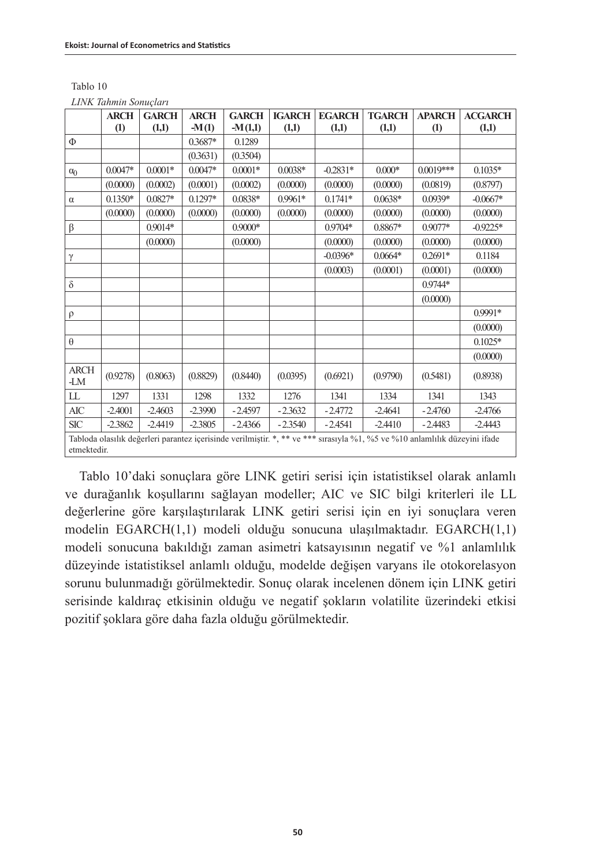| Tablo 10 |                       |
|----------|-----------------------|
|          | LINK Tahmin Sonucları |

|                    | <b>ARCH</b>      | <b>GARCH</b> | <b>ARCH</b> | <b>GARCH</b> | <b>IGARCH</b> | <b>EGARCH</b> | <b>TGARCH</b>                                                                                                              | <b>APARCH</b>    | <b>ACGARCH</b> |
|--------------------|------------------|--------------|-------------|--------------|---------------|---------------|----------------------------------------------------------------------------------------------------------------------------|------------------|----------------|
|                    | $\left(1\right)$ | (1,1)        | $-M(1)$     | $-M(1,1)$    | (1,1)         | (1,1)         | (1,1)                                                                                                                      | $\left(1\right)$ | (1,1)          |
| Φ                  |                  |              | 0.3687*     | 0.1289       |               |               |                                                                                                                            |                  |                |
|                    |                  |              | (0.3631)    | (0.3504)     |               |               |                                                                                                                            |                  |                |
| $\alpha_0$         | $0.0047*$        | $0.0001*$    | $0.0047*$   | $0.0001*$    | $0.0038*$     | $-0.2831*$    | $0.000*$                                                                                                                   | $0.0019***$      | $0.1035*$      |
|                    | (0.0000)         | (0.0002)     | (0.0001)    | (0.0002)     | (0.0000)      | (0.0000)      | (0.0000)                                                                                                                   | (0.0819)         | (0.8797)       |
| $\alpha$           | $0.1350*$        | $0.0827*$    | $0.1297*$   | 0.0838*      | 0.9961*       | $0.1741*$     | $0.0638*$                                                                                                                  | 0.0939*          | $-0.0667*$     |
|                    | (0.0000)         | (0.0000)     | (0.0000)    | (0.0000)     | (0.0000)      | (0.0000)      | (0.0000)                                                                                                                   | (0.0000)         | (0.0000)       |
| β                  |                  | $0.9014*$    |             | $0.9000*$    |               | $0.9704*$     | $0.8867*$                                                                                                                  | $0.9077*$        | $-0.9225*$     |
|                    |                  | (0.0000)     |             | (0.0000)     |               | (0.0000)      | (0.0000)                                                                                                                   | (0.0000)         | (0.0000)       |
| γ                  |                  |              |             |              |               | $-0.0396*$    | $0.0664*$                                                                                                                  | $0.2691*$        | 0.1184         |
|                    |                  |              |             |              |               | (0.0003)      | (0.0001)                                                                                                                   | (0.0001)         | (0.0000)       |
| $\delta$           |                  |              |             |              |               |               |                                                                                                                            | $0.9744*$        |                |
|                    |                  |              |             |              |               |               |                                                                                                                            | (0.0000)         |                |
| $\rho$             |                  |              |             |              |               |               |                                                                                                                            |                  | 0.9991*        |
|                    |                  |              |             |              |               |               |                                                                                                                            |                  | (0.0000)       |
| $\theta$           |                  |              |             |              |               |               |                                                                                                                            |                  | $0.1025*$      |
|                    |                  |              |             |              |               |               |                                                                                                                            |                  | (0.0000)       |
| <b>ARCH</b><br>-LM | (0.9278)         | (0.8063)     | (0.8829)    | (0.8440)     | (0.0395)      | (0.6921)      | (0.9790)                                                                                                                   | (0.5481)         | (0.8938)       |
| LL                 | 1297             | 1331         | 1298        | 1332         | 1276          | 1341          | 1334                                                                                                                       | 1341             | 1343           |
| AIC                | $-2.4001$        | $-2.4603$    | $-2.3990$   | $-2.4597$    | $-2.3632$     | $-2.4772$     | $-2.4641$                                                                                                                  | $-2.4760$        | $-2.4766$      |
| <b>SIC</b>         | $-2.3862$        | $-2.4419$    | $-2.3805$   | $-2.4366$    | $-2.3540$     | $-2.4541$     | $-2.4410$                                                                                                                  | $-2.4483$        | $-2.4443$      |
|                    |                  |              |             |              |               |               | Tabloda olasılık değerleri parantez içerisinde verilmiştir. *, ** ve *** sırasıyla %1, %5 ve %10 anlamlılık düzeyini ifade |                  |                |
| etmektedir.        |                  |              |             |              |               |               |                                                                                                                            |                  |                |

Tablo 10'daki sonuçlara göre LINK getiri serisi için istatistiksel olarak anlamlı ve durağanlık koşullarını sağlayan modeller; AIC ve SIC bilgi kriterleri ile LL değerlerine göre karşılaştırılarak LINK getiri serisi için en iyi sonuçlara veren modelin EGARCH(1,1) modeli olduğu sonucuna ulaşılmaktadır. EGARCH(1,1) modeli sonucuna bakıldığı zaman asimetri katsayısının negatif ve %1 anlamlılık düzeyinde istatistiksel anlamlı olduğu, modelde değişen varyans ile otokorelasyon sorunu bulunmadığı görülmektedir. Sonuç olarak incelenen dönem için LINK getiri serisinde kaldıraç etkisinin olduğu ve negatif şokların volatilite üzerindeki etkisi pozitif şoklara göre daha fazla olduğu görülmektedir.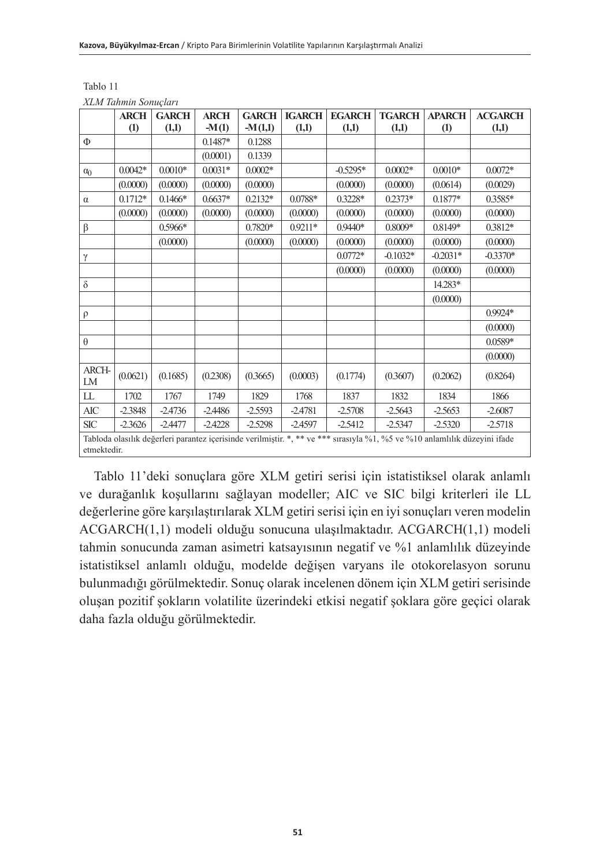|             | <b>ARCH</b>                                                                                                                               | <b>GARCH</b> | <b>ARCH</b> | <b>GARCH</b> | <b>IGARCH</b> | <b>EGARCH</b> | <b>TGARCH</b> | <b>APARCH</b> | <b>ACGARCH</b> |  |  |
|-------------|-------------------------------------------------------------------------------------------------------------------------------------------|--------------|-------------|--------------|---------------|---------------|---------------|---------------|----------------|--|--|
|             | (1)                                                                                                                                       | (1,1)        | $-M(1)$     | $-M(1,1)$    | (1,1)         | (1,1)         | (1,1)         | (1)           | (1,1)          |  |  |
| Φ           |                                                                                                                                           |              | $0.1487*$   | 0.1288       |               |               |               |               |                |  |  |
|             |                                                                                                                                           |              | (0.0001)    | 0.1339       |               |               |               |               |                |  |  |
| $\alpha_0$  | $0.0042*$                                                                                                                                 | $0.0010*$    | $0.0031*$   | $0.0002*$    |               | $-0.5295*$    | $0.0002*$     | $0.0010*$     | $0.0072*$      |  |  |
|             | (0.0000)                                                                                                                                  | (0.0000)     | (0.0000)    | (0.0000)     |               | (0.0000)      | (0.0000)      | (0.0614)      | (0.0029)       |  |  |
| $\alpha$    | $0.1712*$                                                                                                                                 | $0.1466*$    | $0.6637*$   | $0.2132*$    | $0.0788*$     | $0.3228*$     | $0.2373*$     | $0.1877*$     | 0.3585*        |  |  |
|             | (0.0000)                                                                                                                                  | (0.0000)     | (0.0000)    | (0.0000)     | (0.0000)      | (0.0000)      | (0.0000)      | (0.0000)      | (0.0000)       |  |  |
| β           |                                                                                                                                           | 0.5966*      |             | $0.7820*$    | $0.9211*$     | $0.9440*$     | $0.8009*$     | 0.8149*       | 0.3812*        |  |  |
|             |                                                                                                                                           | (0.0000)     |             | (0.0000)     | (0.0000)      | (0.0000)      | (0.0000)      | (0.0000)      | (0.0000)       |  |  |
| γ           |                                                                                                                                           |              |             |              |               | $0.0772*$     | $-0.1032*$    | $-0.2031*$    | $-0.3370*$     |  |  |
|             |                                                                                                                                           |              |             |              |               | (0.0000)      | (0.0000)      | (0.0000)      | (0.0000)       |  |  |
| $\delta$    |                                                                                                                                           |              |             |              |               |               |               | 14.283*       |                |  |  |
|             |                                                                                                                                           |              |             |              |               |               |               | (0.0000)      |                |  |  |
| $\rho$      |                                                                                                                                           |              |             |              |               |               |               |               | $0.9924*$      |  |  |
|             |                                                                                                                                           |              |             |              |               |               |               |               | (0.0000)       |  |  |
| $\theta$    |                                                                                                                                           |              |             |              |               |               |               |               | 0.0589*        |  |  |
|             |                                                                                                                                           |              |             |              |               |               |               |               | (0.0000)       |  |  |
| ARCH-<br>LM | (0.0621)                                                                                                                                  | (0.1685)     | (0.2308)    | (0.3665)     | (0.0003)      | (0.1774)      | (0.3607)      | (0.2062)      | (0.8264)       |  |  |
| LL          | 1702                                                                                                                                      | 1767         | 1749        | 1829         | 1768          | 1837          | 1832          | 1834          | 1866           |  |  |
| AIC         | $-2.3848$                                                                                                                                 | $-2.4736$    | $-2.4486$   | $-2.5593$    | $-2.4781$     | $-2.5708$     | $-2.5643$     | $-2.5653$     | $-2.6087$      |  |  |
| <b>SIC</b>  | $-2.3626$                                                                                                                                 | $-2.4477$    | $-2.4228$   | $-2.5298$    | $-2.4597$     | $-2.5412$     | $-2.5347$     | $-2.5320$     | $-2.5718$      |  |  |
|             |                                                                                                                                           |              |             |              |               |               |               |               |                |  |  |
|             | Tabloda olasılık değerleri parantez içerisinde verilmiştir. *, ** ve *** sırasıyla %1, %5 ve %10 anlamlılık düzeyini ifade<br>etmektedir. |              |             |              |               |               |               |               |                |  |  |

Tablo 11 *XLM Tahmin Sonuçları*

Tablo 11'deki sonuçlara göre XLM getiri serisi için istatistiksel olarak anlamlı ve durağanlık koşullarını sağlayan modeller; AIC ve SIC bilgi kriterleri ile LL değerlerine göre karşılaştırılarak XLM getiri serisi için en iyi sonuçları veren modelin ACGARCH(1,1) modeli olduğu sonucuna ulaşılmaktadır. ACGARCH(1,1) modeli tahmin sonucunda zaman asimetri katsayısının negatif ve %1 anlamlılık düzeyinde istatistiksel anlamlı olduğu, modelde değişen varyans ile otokorelasyon sorunu bulunmadığı görülmektedir. Sonuç olarak incelenen dönem için XLM getiri serisinde oluşan pozitif şokların volatilite üzerindeki etkisi negatif şoklara göre geçici olarak daha fazla olduğu görülmektedir.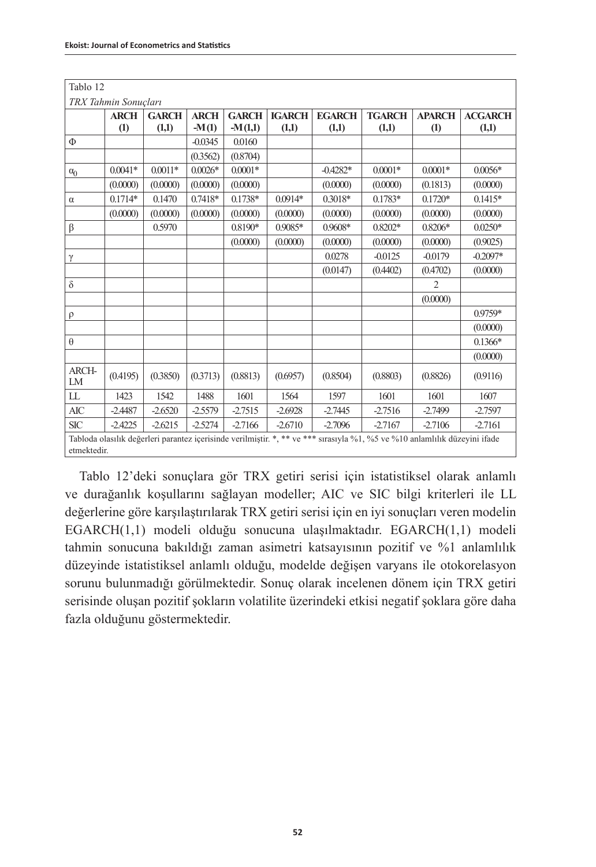| Tablo 12             |                                                                                                                                           |              |             |              |               |               |               |                  |                |  |
|----------------------|-------------------------------------------------------------------------------------------------------------------------------------------|--------------|-------------|--------------|---------------|---------------|---------------|------------------|----------------|--|
| TRX Tahmin Sonucları |                                                                                                                                           |              |             |              |               |               |               |                  |                |  |
|                      | <b>ARCH</b>                                                                                                                               | <b>GARCH</b> | <b>ARCH</b> | <b>GARCH</b> | <b>IGARCH</b> | <b>EGARCH</b> | <b>TGARCH</b> | <b>APARCH</b>    | <b>ACGARCH</b> |  |
|                      | $\left( 1\right)$                                                                                                                         | (1,1)        | $-M(1)$     | $-M(1,1)$    | (1,1)         | (1,1)         | (1,1)         | $\left(1\right)$ | (1,1)          |  |
| Φ                    |                                                                                                                                           |              | $-0.0345$   | 0.0160       |               |               |               |                  |                |  |
|                      |                                                                                                                                           |              | (0.3562)    | (0.8704)     |               |               |               |                  |                |  |
| $\alpha_0$           | $0.0041*$                                                                                                                                 | $0.0011*$    | $0.0026*$   | $0.0001*$    |               | $-0.4282*$    | $0.0001*$     | $0.0001*$        | $0.0056*$      |  |
|                      | (0.0000)                                                                                                                                  | (0.0000)     | (0.0000)    | (0.0000)     |               | (0.0000)      | (0.0000)      | (0.1813)         | (0.0000)       |  |
| $\alpha$             | $0.1714*$                                                                                                                                 | 0.1470       | $0.7418*$   | $0.1738*$    | $0.0914*$     | $0.3018*$     | $0.1783*$     | $0.1720*$        | $0.1415*$      |  |
|                      | (0.0000)                                                                                                                                  | (0.0000)     | (0.0000)    | (0.0000)     | (0.0000)      | (0.0000)      | (0.0000)      | (0.0000)         | (0.0000)       |  |
| β                    |                                                                                                                                           | 0.5970       |             | 0.8190*      | 0.9085*       | 0.9608*       | 0.8202*       | $0.8206*$        | $0.0250*$      |  |
|                      |                                                                                                                                           |              |             | (0.0000)     | (0.0000)      | (0.0000)      | (0.0000)      | (0.0000)         | (0.9025)       |  |
| γ                    |                                                                                                                                           |              |             |              |               | 0.0278        | $-0.0125$     | $-0.0179$        | $-0.2097*$     |  |
|                      |                                                                                                                                           |              |             |              |               | (0.0147)      | (0.4402)      | (0.4702)         | (0.0000)       |  |
| $\delta$             |                                                                                                                                           |              |             |              |               |               |               | $\overline{2}$   |                |  |
|                      |                                                                                                                                           |              |             |              |               |               |               | (0.0000)         |                |  |
| $\rho$               |                                                                                                                                           |              |             |              |               |               |               |                  | 0.9759*        |  |
|                      |                                                                                                                                           |              |             |              |               |               |               |                  | (0.0000)       |  |
| $\theta$             |                                                                                                                                           |              |             |              |               |               |               |                  | $0.1366*$      |  |
|                      |                                                                                                                                           |              |             |              |               |               |               |                  | (0.0000)       |  |
| ARCH-<br>LM          | (0.4195)                                                                                                                                  | (0.3850)     | (0.3713)    | (0.8813)     | (0.6957)      | (0.8504)      | (0.8803)      | (0.8826)         | (0.9116)       |  |
| LL                   | 1423                                                                                                                                      | 1542         | 1488        | 1601         | 1564          | 1597          | 1601          | 1601             | 1607           |  |
| AIC                  | $-2.4487$                                                                                                                                 | $-2.6520$    | $-2.5579$   | $-2.7515$    | $-2.6928$     | $-2.7445$     | $-2.7516$     | $-2.7499$        | $-2.7597$      |  |
| <b>SIC</b>           | $-2.4225$                                                                                                                                 | $-2.6215$    | $-2.5274$   | $-2.7166$    | $-2.6710$     | $-2.7096$     | $-2.7167$     | $-2.7106$        | $-2.7161$      |  |
|                      | Tabloda olasılık değerleri parantez içerisinde verilmiştir. *, ** ve *** sırasıyla %1, %5 ve %10 anlamlılık düzeyini ifade<br>etmektedir. |              |             |              |               |               |               |                  |                |  |

Tablo 12'deki sonuçlara gör TRX getiri serisi için istatistiksel olarak anlamlı ve durağanlık koşullarını sağlayan modeller; AIC ve SIC bilgi kriterleri ile LL değerlerine göre karşılaştırılarak TRX getiri serisi için en iyi sonuçları veren modelin EGARCH(1,1) modeli olduğu sonucuna ulaşılmaktadır. EGARCH(1,1) modeli tahmin sonucuna bakıldığı zaman asimetri katsayısının pozitif ve %1 anlamlılık düzeyinde istatistiksel anlamlı olduğu, modelde değişen varyans ile otokorelasyon sorunu bulunmadığı görülmektedir. Sonuç olarak incelenen dönem için TRX getiri serisinde oluşan pozitif şokların volatilite üzerindeki etkisi negatif şoklara göre daha fazla olduğunu göstermektedir.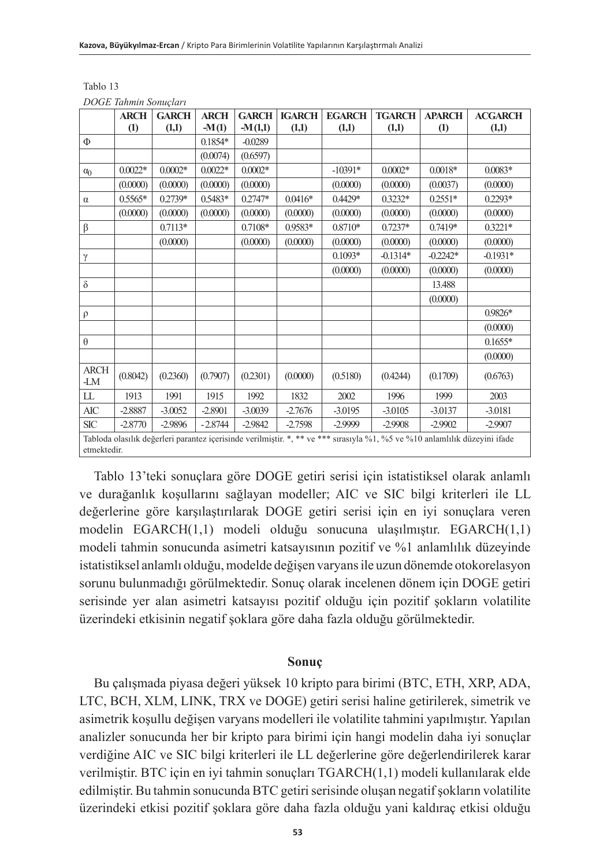|                    | <b>ARCH</b>      | <b>GARCH</b> | <b>ARCH</b> | <b>GARCH</b> | <b>IGARCH</b> | <b>EGARCH</b>                                                                                                              | <b>TGARCH</b> | <b>APARCH</b>    | <b>ACGARCH</b> |  |
|--------------------|------------------|--------------|-------------|--------------|---------------|----------------------------------------------------------------------------------------------------------------------------|---------------|------------------|----------------|--|
|                    | $\left(1\right)$ | (1,1)        | $-M(1)$     | $-M(1,1)$    | (1,1)         | (1,1)                                                                                                                      | (1,1)         | $\left(1\right)$ | (1,1)          |  |
| Φ                  |                  |              | $0.1854*$   | $-0.0289$    |               |                                                                                                                            |               |                  |                |  |
|                    |                  |              | (0.0074)    | (0.6597)     |               |                                                                                                                            |               |                  |                |  |
| $\alpha_0$         | $0.0022*$        | $0.0002*$    | $0.0022*$   | $0.0002*$    |               | $-10391*$                                                                                                                  | $0.0002*$     | $0.0018*$        | $0.0083*$      |  |
|                    | (0.0000)         | (0.0000)     | (0.0000)    | (0.0000)     |               | (0.0000)                                                                                                                   | (0.0000)      | (0.0037)         | (0.0000)       |  |
| $\alpha$           | $0.5565*$        | 0.2739*      | 0.5483*     | $0.2747*$    | $0.0416*$     | 0.4429*                                                                                                                    | $0.3232*$     | $0.2551*$        | $0.2293*$      |  |
|                    | (0.0000)         | (0.0000)     | (0.0000)    | (0.0000)     | (0.0000)      | (0.0000)                                                                                                                   | (0.0000)      | (0.0000)         | (0.0000)       |  |
| β                  |                  | $0.7113*$    |             | 0.7108*      | 0.9583*       | $0.8710*$                                                                                                                  | $0.7237*$     | 0.7419*          | $0.3221*$      |  |
|                    |                  | (0.0000)     |             | (0.0000)     | (0.0000)      | (0.0000)                                                                                                                   | (0.0000)      | (0.0000)         | (0.0000)       |  |
| $\gamma$           |                  |              |             |              |               | $0.1093*$                                                                                                                  | $-0.1314*$    | $-0.2242*$       | $-0.1931*$     |  |
|                    |                  |              |             |              |               | (0.0000)                                                                                                                   | (0.0000)      | (0.0000)         | (0.0000)       |  |
| $\delta$           |                  |              |             |              |               |                                                                                                                            |               | 13.488           |                |  |
|                    |                  |              |             |              |               |                                                                                                                            |               | (0.0000)         |                |  |
| $\rho$             |                  |              |             |              |               |                                                                                                                            |               |                  | $0.9826*$      |  |
|                    |                  |              |             |              |               |                                                                                                                            |               |                  | (0.0000)       |  |
| $\theta$           |                  |              |             |              |               |                                                                                                                            |               |                  | $0.1655*$      |  |
|                    |                  |              |             |              |               |                                                                                                                            |               |                  | (0.0000)       |  |
| <b>ARCH</b><br>-LM | (0.8042)         | (0.2360)     | (0.7907)    | (0.2301)     | (0.0000)      | (0.5180)                                                                                                                   | (0.4244)      | (0.1709)         | (0.6763)       |  |
| LL                 | 1913             | 1991         | 1915        | 1992         | 1832          | 2002                                                                                                                       | 1996          | 1999             | 2003           |  |
| AIC                | $-2.8887$        | $-3.0052$    | $-2.8901$   | $-3.0039$    | $-2.7676$     | $-3.0195$                                                                                                                  | $-3.0105$     | $-3.0137$        | $-3.0181$      |  |
| <b>SIC</b>         | $-2.8770$        | $-2.9896$    | $-2.8744$   | $-2.9842$    | $-2.7598$     | $-2.9999$                                                                                                                  | $-2.9908$     | $-2.9902$        | $-2.9907$      |  |
|                    |                  |              |             |              |               | Tabloda olasılık değerleri parantez içerisinde verilmiştir. *, ** ve *** sırasıyla %1, %5 ve %10 anlamlılık düzeyini ifade |               |                  |                |  |
|                    | etmektedir.      |              |             |              |               |                                                                                                                            |               |                  |                |  |

Tablo 13 *DOGE Tahmin Sonuçları*

Tablo 13'teki sonuçlara göre DOGE getiri serisi için istatistiksel olarak anlamlı ve durağanlık koşullarını sağlayan modeller; AIC ve SIC bilgi kriterleri ile LL değerlerine göre karşılaştırılarak DOGE getiri serisi için en iyi sonuçlara veren modelin EGARCH(1,1) modeli olduğu sonucuna ulaşılmıştır. EGARCH(1,1) modeli tahmin sonucunda asimetri katsayısının pozitif ve %1 anlamlılık düzeyinde istatistiksel anlamlı olduğu, modelde değişen varyans ile uzun dönemde otokorelasyon sorunu bulunmadığı görülmektedir. Sonuç olarak incelenen dönem için DOGE getiri serisinde yer alan asimetri katsayısı pozitif olduğu için pozitif şokların volatilite üzerindeki etkisinin negatif şoklara göre daha fazla olduğu görülmektedir.

## **Sonuç**

Bu çalışmada piyasa değeri yüksek 10 kripto para birimi (BTC, ETH, XRP, ADA, LTC, BCH, XLM, LINK, TRX ve DOGE) getiri serisi haline getirilerek, simetrik ve asimetrik koşullu değişen varyans modelleri ile volatilite tahmini yapılmıştır. Yapılan analizler sonucunda her bir kripto para birimi için hangi modelin daha iyi sonuçlar verdiğine AIC ve SIC bilgi kriterleri ile LL değerlerine göre değerlendirilerek karar verilmiştir. BTC için en iyi tahmin sonuçları TGARCH(1,1) modeli kullanılarak elde edilmiştir. Bu tahmin sonucunda BTC getiri serisinde oluşan negatif şokların volatilite üzerindeki etkisi pozitif şoklara göre daha fazla olduğu yani kaldıraç etkisi olduğu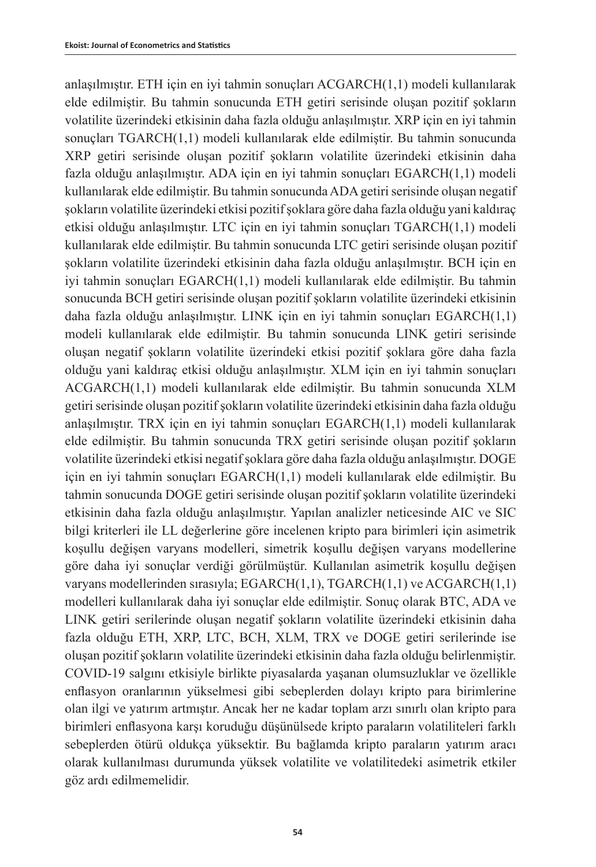anlaşılmıştır. ETH için en iyi tahmin sonuçları ACGARCH(1,1) modeli kullanılarak elde edilmiştir. Bu tahmin sonucunda ETH getiri serisinde oluşan pozitif şokların volatilite üzerindeki etkisinin daha fazla olduğu anlaşılmıştır. XRP için en iyi tahmin sonuçları TGARCH(1,1) modeli kullanılarak elde edilmiştir. Bu tahmin sonucunda XRP getiri serisinde oluşan pozitif şokların volatilite üzerindeki etkisinin daha fazla olduğu anlaşılmıştır. ADA için en iyi tahmin sonuçları EGARCH(1,1) modeli kullanılarak elde edilmiştir. Bu tahmin sonucunda ADA getiri serisinde oluşan negatif şokların volatilite üzerindeki etkisi pozitif şoklara göre daha fazla olduğu yani kaldıraç etkisi olduğu anlaşılmıştır. LTC için en iyi tahmin sonuçları TGARCH(1,1) modeli kullanılarak elde edilmiştir. Bu tahmin sonucunda LTC getiri serisinde oluşan pozitif şokların volatilite üzerindeki etkisinin daha fazla olduğu anlaşılmıştır. BCH için en iyi tahmin sonuçları EGARCH(1,1) modeli kullanılarak elde edilmiştir. Bu tahmin sonucunda BCH getiri serisinde oluşan pozitif şokların volatilite üzerindeki etkisinin daha fazla olduğu anlaşılmıştır. LINK için en iyi tahmin sonuçları EGARCH(1,1) modeli kullanılarak elde edilmiştir. Bu tahmin sonucunda LINK getiri serisinde oluşan negatif şokların volatilite üzerindeki etkisi pozitif şoklara göre daha fazla olduğu yani kaldıraç etkisi olduğu anlaşılmıştır. XLM için en iyi tahmin sonuçları ACGARCH(1,1) modeli kullanılarak elde edilmiştir. Bu tahmin sonucunda XLM getiri serisinde oluşan pozitif şokların volatilite üzerindeki etkisinin daha fazla olduğu anlaşılmıştır. TRX için en iyi tahmin sonuçları EGARCH(1,1) modeli kullanılarak elde edilmiştir. Bu tahmin sonucunda TRX getiri serisinde oluşan pozitif şokların volatilite üzerindeki etkisi negatif şoklara göre daha fazla olduğu anlaşılmıştır. DOGE için en iyi tahmin sonuçları EGARCH(1,1) modeli kullanılarak elde edilmiştir. Bu tahmin sonucunda DOGE getiri serisinde oluşan pozitif şokların volatilite üzerindeki etkisinin daha fazla olduğu anlaşılmıştır. Yapılan analizler neticesinde AIC ve SIC bilgi kriterleri ile LL değerlerine göre incelenen kripto para birimleri için asimetrik koşullu değişen varyans modelleri, simetrik koşullu değişen varyans modellerine göre daha iyi sonuçlar verdiği görülmüştür. Kullanılan asimetrik koşullu değişen varyans modellerinden sırasıyla; EGARCH(1,1), TGARCH(1,1) ve ACGARCH(1,1) modelleri kullanılarak daha iyi sonuçlar elde edilmiştir. Sonuç olarak BTC, ADA ve LINK getiri serilerinde oluşan negatif şokların volatilite üzerindeki etkisinin daha fazla olduğu ETH, XRP, LTC, BCH, XLM, TRX ve DOGE getiri serilerinde ise oluşan pozitif şokların volatilite üzerindeki etkisinin daha fazla olduğu belirlenmiştir. COVID-19 salgını etkisiyle birlikte piyasalarda yaşanan olumsuzluklar ve özellikle enflasyon oranlarının yükselmesi gibi sebeplerden dolayı kripto para birimlerine olan ilgi ve yatırım artmıştır. Ancak her ne kadar toplam arzı sınırlı olan kripto para birimleri enflasyona karşı koruduğu düşünülsede kripto paraların volatiliteleri farklı sebeplerden ötürü oldukça yüksektir. Bu bağlamda kripto paraların yatırım aracı olarak kullanılması durumunda yüksek volatilite ve volatilitedeki asimetrik etkiler göz ardı edilmemelidir.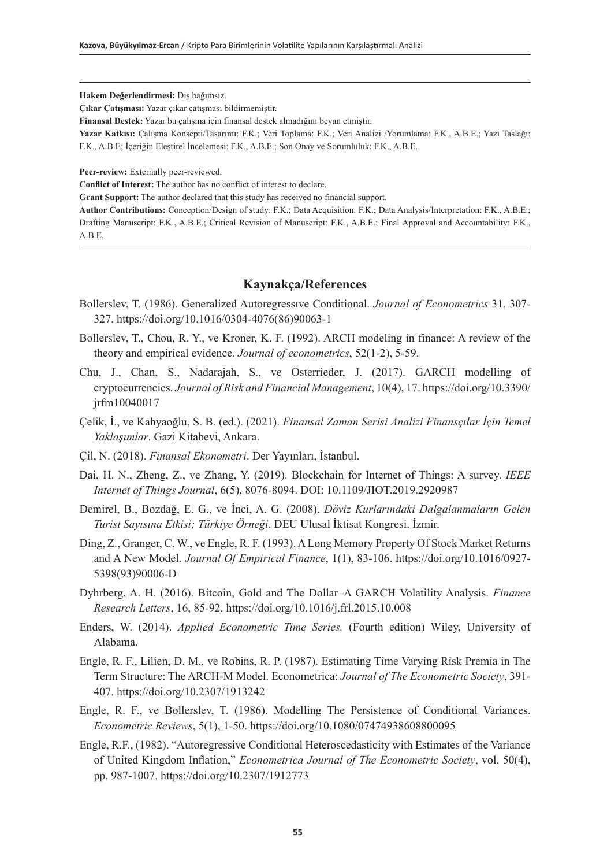**Hakem Değerlendirmesi:** Dış bağımsız.

**Çıkar Çatışması:** Yazar çıkar çatışması bildirmemiştir.

**Finansal Destek:** Yazar bu çalışma için finansal destek almadığını beyan etmiştir.

**Yazar Katkısı:** Çalışma Konsepti/Tasarımı: F.K.; Veri Toplama: F.K.; Veri Analizi /Yorumlama: F.K., A.B.E.; Yazı Taslağı: F.K., A.B.E; İçeriğin Eleştirel İncelemesi: F.K., A.B.E.; Son Onay ve Sorumluluk: F.K., A.B.E.

**Peer-review:** Externally peer-reviewed.

**Conflict of Interest:** The author has no conflict of interest to declare.

**Grant Support:** The author declared that this study has received no financial support.

**Author Contributions:** Conception/Design of study: F.K.; Data Acquisition: F.K.; Data Analysis/Interpretation: F.K., A.B.E.; Drafting Manuscript: F.K., A.B.E.; Critical Revision of Manuscript: F.K., A.B.E.; Final Approval and Accountability: F.K., A.B.E.

## **Kaynakça/References**

- Bollerslev, T. (1986). Generalized Autoregressıve Conditional. *Journal of Econometrics* 31, 307- 327. https://doi.org/10.1016/0304-4076(86)90063-1
- Bollerslev, T., Chou, R. Y., ve Kroner, K. F. (1992). ARCH modeling in finance: A review of the theory and empirical evidence. *Journal of econometrics*, 52(1-2), 5-59.
- Chu, J., Chan, S., Nadarajah, S., ve Osterrieder, J. (2017). GARCH modelling of cryptocurrencies. *Journal of Risk and Financial Management*, 10(4), 17. https://doi.org/10.3390/ jrfm10040017
- Çelik, İ., ve Kahyaoğlu, S. B. (ed.). (2021). *Finansal Zaman Serisi Analizi Finansçılar İçin Temel Yaklaşımlar*. Gazi Kitabevi, Ankara.
- Çil, N. (2018). *Finansal Ekonometri*. Der Yayınları, İstanbul.
- Dai, H. N., Zheng, Z., ve Zhang, Y. (2019). Blockchain for Internet of Things: A survey. *IEEE Internet of Things Journal*, 6(5), 8076-8094. DOI: 10.1109/JIOT.2019.2920987
- Demirel, B., Bozdağ, E. G., ve İnci, A. G. (2008). *Döviz Kurlarındaki Dalgalanmaların Gelen Turist Sayısına Etkisi; Türkiye Örneği*. DEU Ulusal İktisat Kongresi. İzmir.
- Ding, Z., Granger, C. W., ve Engle, R. F. (1993). A Long Memory Property Of Stock Market Returns and A New Model. *Journal Of Empirical Finance*, 1(1), 83-106. https://doi.org/10.1016/0927- 5398(93)90006-D
- Dyhrberg, A. H. (2016). Bitcoin, Gold and The Dollar–A GARCH Volatility Analysis. *Finance Research Letters*, 16, 85-92. https://doi.org/10.1016/j.frl.2015.10.008
- Enders, W. (2014). *Applied Econometric Time Series.* (Fourth edition) Wiley, University of Alabama.
- Engle, R. F., Lilien, D. M., ve Robins, R. P. (1987). Estimating Time Varying Risk Premia in The Term Structure: The ARCH-M Model. Econometrica: *Journal of The Econometric Society*, 391- 407. https://doi.org/10.2307/1913242
- Engle, R. F., ve Bollerslev, T. (1986). Modelling The Persistence of Conditional Variances. *Econometric Reviews*, 5(1), 1-50. https://doi.org/10.1080/07474938608800095
- Engle, R.F., (1982). "Autoregressive Conditional Heteroscedasticity with Estimates of the Variance of United Kingdom Inflation," *Econometrica Journal of The Econometric Society*, vol. 50(4), pp. 987-1007. https://doi.org/10.2307/1912773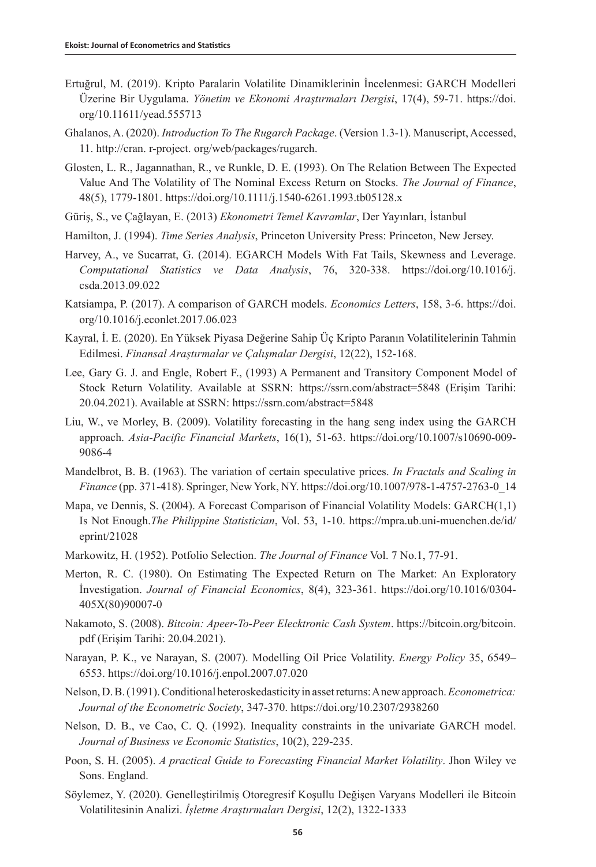- Ertuğrul, M. (2019). Kripto Paralarin Volatilite Dinamiklerinin İncelenmesi: GARCH Modelleri Üzerine Bir Uygulama. *Yönetim ve Ekonomi Araştırmaları Dergisi*, 17(4), 59-71. https://doi. org/10.11611/yead.555713
- Ghalanos, A. (2020). *Introduction To The Rugarch Package*. (Version 1.3-1). Manuscript, Accessed, 11. http://cran. r-project. org/web/packages/rugarch.
- Glosten, L. R., Jagannathan, R., ve Runkle, D. E. (1993). On The Relation Between The Expected Value And The Volatility of The Nominal Excess Return on Stocks. *The Journal of Finance*, 48(5), 1779-1801. https://doi.org/10.1111/j.1540-6261.1993.tb05128.x
- Güriş, S., ve Çağlayan, E. (2013) *Ekonometri Temel Kavramlar*, Der Yayınları, İstanbul
- Hamilton, J. (1994). *Time Series Analysis*, Princeton University Press: Princeton, New Jersey.
- Harvey, A., ve Sucarrat, G. (2014). EGARCH Models With Fat Tails, Skewness and Leverage. *Computational Statistics ve Data Analysis*, 76, 320-338. https://doi.org/10.1016/j. csda.2013.09.022
- Katsiampa, P. (2017). A comparison of GARCH models. *Economics Letters*, 158, 3-6. https://doi. org/10.1016/j.econlet.2017.06.023
- Kayral, İ. E. (2020). En Yüksek Piyasa Değerine Sahip Üç Kripto Paranın Volatilitelerinin Tahmin Edilmesi. *Finansal Araştırmalar ve Çalışmalar Dergisi*, 12(22), 152-168.
- Lee, Gary G. J. and Engle, Robert F., (1993) A Permanent and Transitory Component Model of Stock Return Volatility. Available at SSRN: https://ssrn.com/abstract=5848 (Erişim Tarihi: 20.04.2021). Available at SSRN: https://ssrn.com/abstract=5848
- Liu, W., ve Morley, B. (2009). Volatility forecasting in the hang seng index using the GARCH approach. *Asia-Pacific Financial Markets*, 16(1), 51-63. https://doi.org/10.1007/s10690-009- 9086-4
- Mandelbrot, B. B. (1963). The variation of certain speculative prices. *In Fractals and Scaling in Finance* (pp. 371-418). Springer, New York, NY. https://doi.org/10.1007/978-1-4757-2763-0\_14
- Mapa, ve Dennis, S. (2004). A Forecast Comparison of Financial Volatility Models: GARCH(1,1) Is Not Enough.*The Philippine Statistician*, Vol. 53, 1-10. https://mpra.ub.uni-muenchen.de/id/ eprint/21028
- Markowitz, H. (1952). Potfolio Selection. *The Journal of Finance* Vol. 7 No.1, 77-91.
- Merton, R. C. (1980). On Estimating The Expected Return on The Market: An Exploratory İnvestigation. *Journal of Financial Economics*, 8(4), 323-361. https://doi.org/10.1016/0304- 405X(80)90007-0
- Nakamoto, S. (2008). *Bitcoin: Apeer-To-Peer Elecktronic Cash System*. https://bitcoin.org/bitcoin. pdf (Erişim Tarihi: 20.04.2021).
- Narayan, P. K., ve Narayan, S. (2007). Modelling Oil Price Volatility. *Energy Policy* 35, 6549– 6553. https://doi.org/10.1016/j.enpol.2007.07.020
- Nelson, D. B. (1991). Conditional heteroskedasticity in asset returns: A new approach. *Econometrica: Journal of the Econometric Society*, 347-370. https://doi.org/10.2307/2938260
- Nelson, D. B., ve Cao, C. Q. (1992). Inequality constraints in the univariate GARCH model. *Journal of Business ve Economic Statistics*, 10(2), 229-235.
- Poon, S. H. (2005). *A practical Guide to Forecasting Financial Market Volatility*. Jhon Wiley ve Sons. England.
- Söylemez, Y. (2020). Genelleştirilmiş Otoregresif Koşullu Değişen Varyans Modelleri ile Bitcoin Volatilitesinin Analizi. *İşletme Araştırmaları Dergisi*, 12(2), 1322-1333